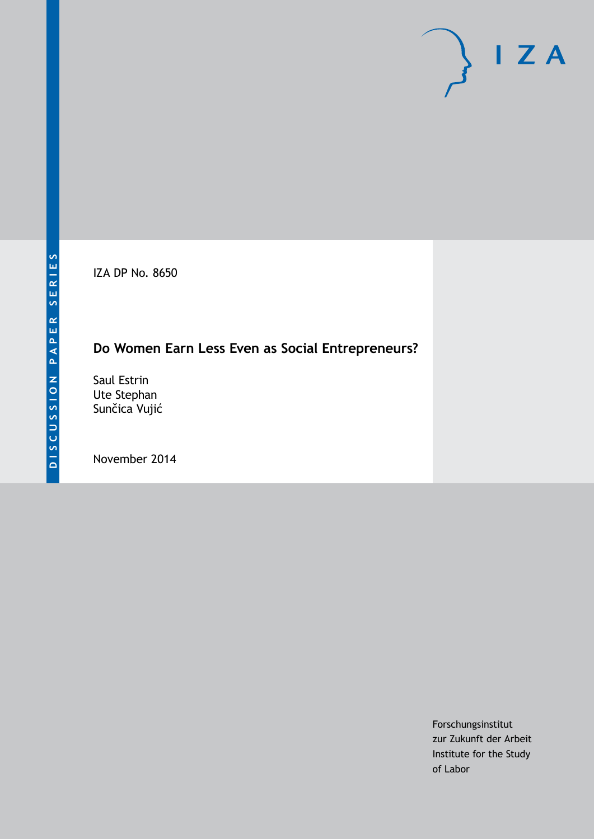IZA DP No. 8650

## **Do Women Earn Less Even as Social Entrepreneurs?**

Saul Estrin Ute Stephan Sunčica Vujić

November 2014

Forschungsinstitut zur Zukunft der Arbeit Institute for the Study of Labor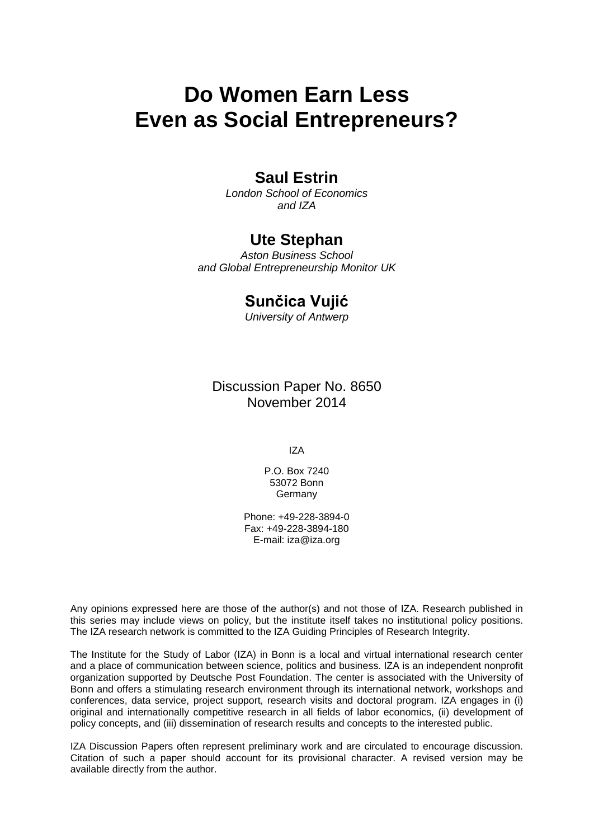# **Do Women Earn Less Even as Social Entrepreneurs?**

### **Saul Estrin**

*London School of Economics and IZA*

### **Ute Stephan**

*Aston Business School and Global Entrepreneurship Monitor UK*

## **Sunčica Vujić**

*University of Antwerp*

Discussion Paper No. 8650 November 2014

IZA

P.O. Box 7240 53072 Bonn Germany

Phone: +49-228-3894-0 Fax: +49-228-3894-180 E-mail: [iza@iza.org](mailto:iza@iza.org)

Any opinions expressed here are those of the author(s) and not those of IZA. Research published in this series may include views on policy, but the institute itself takes no institutional policy positions. The IZA research network is committed to the IZA Guiding Principles of Research Integrity.

The Institute for the Study of Labor (IZA) in Bonn is a local and virtual international research center and a place of communication between science, politics and business. IZA is an independent nonprofit organization supported by Deutsche Post Foundation. The center is associated with the University of Bonn and offers a stimulating research environment through its international network, workshops and conferences, data service, project support, research visits and doctoral program. IZA engages in (i) original and internationally competitive research in all fields of labor economics, (ii) development of policy concepts, and (iii) dissemination of research results and concepts to the interested public.

<span id="page-1-0"></span>IZA Discussion Papers often represent preliminary work and are circulated to encourage discussion. Citation of such a paper should account for its provisional character. A revised version may be available directly from the author.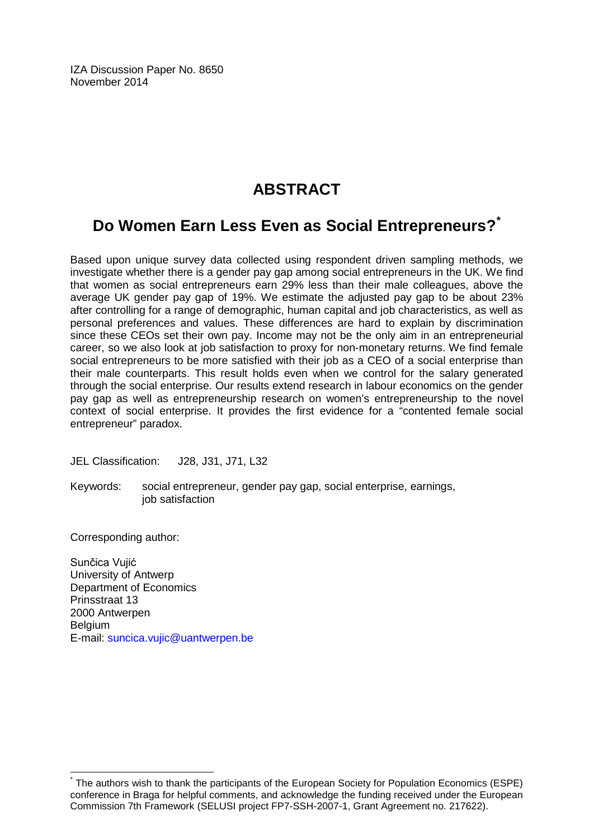IZA Discussion Paper No. 8650 November 2014

## **ABSTRACT**

## **Do Women Earn Less Even as Social Entrepreneurs?[\\*](#page-1-0)**

Based upon unique survey data collected using respondent driven sampling methods, we investigate whether there is a gender pay gap among social entrepreneurs in the UK. We find that women as social entrepreneurs earn 29% less than their male colleagues, above the average UK gender pay gap of 19%. We estimate the adjusted pay gap to be about 23% after controlling for a range of demographic, human capital and job characteristics, as well as personal preferences and values. These differences are hard to explain by discrimination since these CEOs set their own pay. Income may not be the only aim in an entrepreneurial career, so we also look at job satisfaction to proxy for non-monetary returns. We find female social entrepreneurs to be more satisfied with their job as a CEO of a social enterprise than their male counterparts. This result holds even when we control for the salary generated through the social enterprise. Our results extend research in labour economics on the gender pay gap as well as entrepreneurship research on women's entrepreneurship to the novel context of social enterprise. It provides the first evidence for a "contented female social entrepreneur" paradox.

JEL Classification: J28, J31, J71, L32

Keywords: social entrepreneur, gender pay gap, social enterprise, earnings, job satisfaction

Corresponding author:

Sunčica Vujić University of Antwerp Department of Economics Prinsstraat 13 2000 Antwerpen Belgium E-mail: [suncica.vujic@uantwerpen.be](mailto:suncica.vujic@uantwerpen.be)

The authors wish to thank the participants of the European Society for Population Economics (ESPE) conference in Braga for helpful comments, and acknowledge the funding received under the European Commission 7th Framework (SELUSI project FP7-SSH-2007-1, Grant Agreement no. 217622).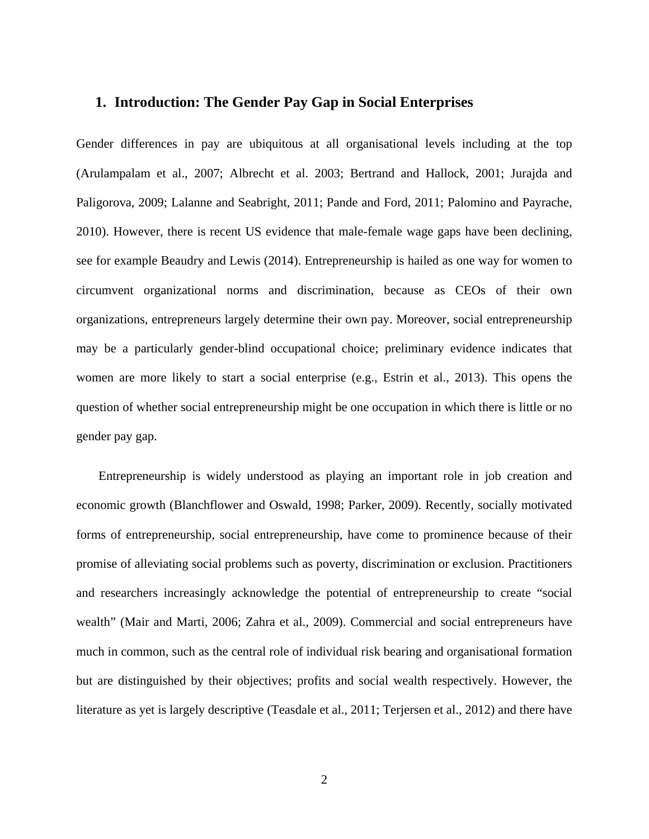#### **1. Introduction: The Gender Pay Gap in Social Enterprises**

Gender differences in pay are ubiquitous at all organisational levels including at the top (Arulampalam et al., 2007; Albrecht et al. 2003; Bertrand and Hallock, 2001; Jurajda and Paligorova, 2009; Lalanne and Seabright, 2011; Pande and Ford, 2011; Palomino and Payrache, 2010). However, there is recent US evidence that male-female wage gaps have been declining, see for example Beaudry and Lewis (2014). Entrepreneurship is hailed as one way for women to circumvent organizational norms and discrimination, because as CEOs of their own organizations, entrepreneurs largely determine their own pay. Moreover, social entrepreneurship may be a particularly gender-blind occupational choice; preliminary evidence indicates that women are more likely to start a social enterprise (e.g., Estrin et al., 2013). This opens the question of whether social entrepreneurship might be one occupation in which there is little or no gender pay gap.

Entrepreneurship is widely understood as playing an important role in job creation and economic growth (Blanchflower and Oswald, 1998; Parker, 2009). Recently, socially motivated forms of entrepreneurship, social entrepreneurship, have come to prominence because of their promise of alleviating social problems such as poverty, discrimination or exclusion. Practitioners and researchers increasingly acknowledge the potential of entrepreneurship to create "social wealth" (Mair and Marti, 2006; Zahra et al., 2009). Commercial and social entrepreneurs have much in common, such as the central role of individual risk bearing and organisational formation but are distinguished by their objectives; profits and social wealth respectively. However, the literature as yet is largely descriptive (Teasdale et al., 2011; Terjersen et al., 2012) and there have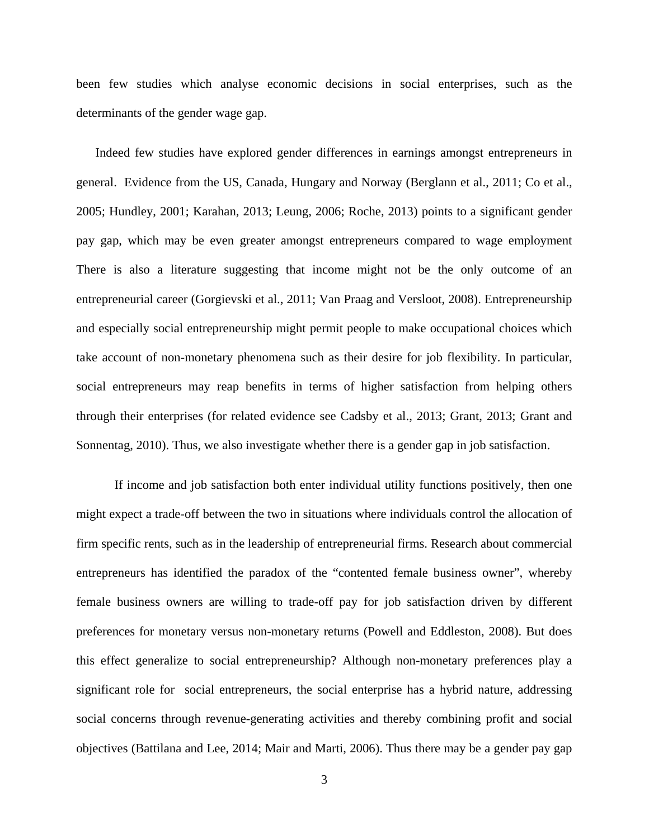been few studies which analyse economic decisions in social enterprises, such as the determinants of the gender wage gap.

Indeed few studies have explored gender differences in earnings amongst entrepreneurs in general. Evidence from the US, Canada, Hungary and Norway (Berglann et al., 2011; Co et al., 2005; Hundley, 2001; Karahan, 2013; Leung, 2006; Roche, 2013) points to a significant gender pay gap, which may be even greater amongst entrepreneurs compared to wage employment There is also a literature suggesting that income might not be the only outcome of an entrepreneurial career (Gorgievski et al., 2011; Van Praag and Versloot, 2008). Entrepreneurship and especially social entrepreneurship might permit people to make occupational choices which take account of non-monetary phenomena such as their desire for job flexibility. In particular, social entrepreneurs may reap benefits in terms of higher satisfaction from helping others through their enterprises (for related evidence see Cadsby et al., 2013; Grant, 2013; Grant and Sonnentag, 2010). Thus, we also investigate whether there is a gender gap in job satisfaction.

If income and job satisfaction both enter individual utility functions positively, then one might expect a trade-off between the two in situations where individuals control the allocation of firm specific rents, such as in the leadership of entrepreneurial firms. Research about commercial entrepreneurs has identified the paradox of the "contented female business owner", whereby female business owners are willing to trade-off pay for job satisfaction driven by different preferences for monetary versus non-monetary returns (Powell and Eddleston, 2008). But does this effect generalize to social entrepreneurship? Although non-monetary preferences play a significant role for social entrepreneurs, the social enterprise has a hybrid nature, addressing social concerns through revenue-generating activities and thereby combining profit and social objectives (Battilana and Lee, 2014; Mair and Marti, 2006). Thus there may be a gender pay gap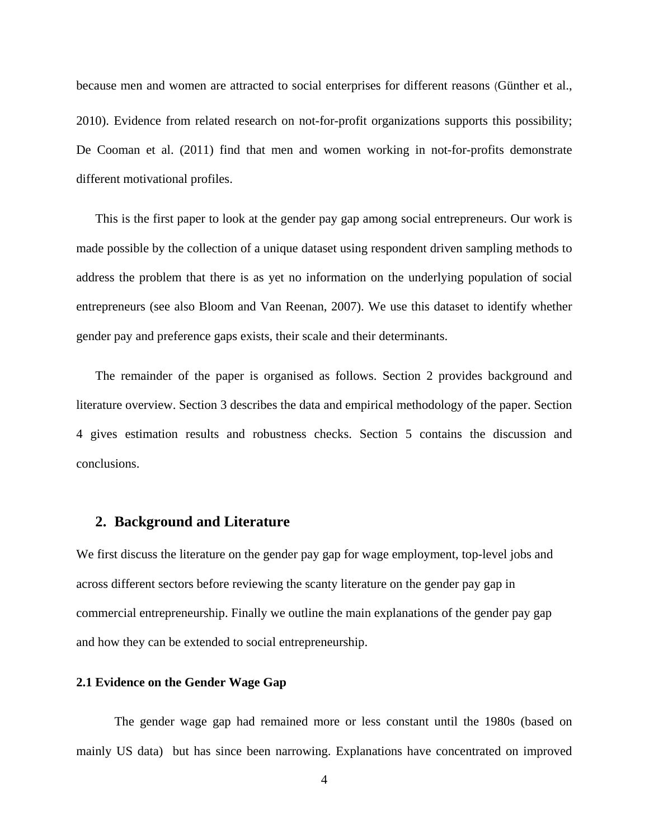because men and women are attracted to social enterprises for different reasons (Günther et al., 2010). Evidence from related research on not-for-profit organizations supports this possibility; De Cooman et al. (2011) find that men and women working in not-for-profits demonstrate different motivational profiles.

This is the first paper to look at the gender pay gap among social entrepreneurs. Our work is made possible by the collection of a unique dataset using respondent driven sampling methods to address the problem that there is as yet no information on the underlying population of social entrepreneurs (see also Bloom and Van Reenan, 2007). We use this dataset to identify whether gender pay and preference gaps exists, their scale and their determinants.

The remainder of the paper is organised as follows. Section 2 provides background and literature overview. Section 3 describes the data and empirical methodology of the paper. Section 4 gives estimation results and robustness checks. Section 5 contains the discussion and conclusions.

#### **2. Background and Literature**

We first discuss the literature on the gender pay gap for wage employment, top-level jobs and across different sectors before reviewing the scanty literature on the gender pay gap in commercial entrepreneurship. Finally we outline the main explanations of the gender pay gap and how they can be extended to social entrepreneurship.

#### **2.1 Evidence on the Gender Wage Gap**

The gender wage gap had remained more or less constant until the 1980s (based on mainly US data) but has since been narrowing. Explanations have concentrated on improved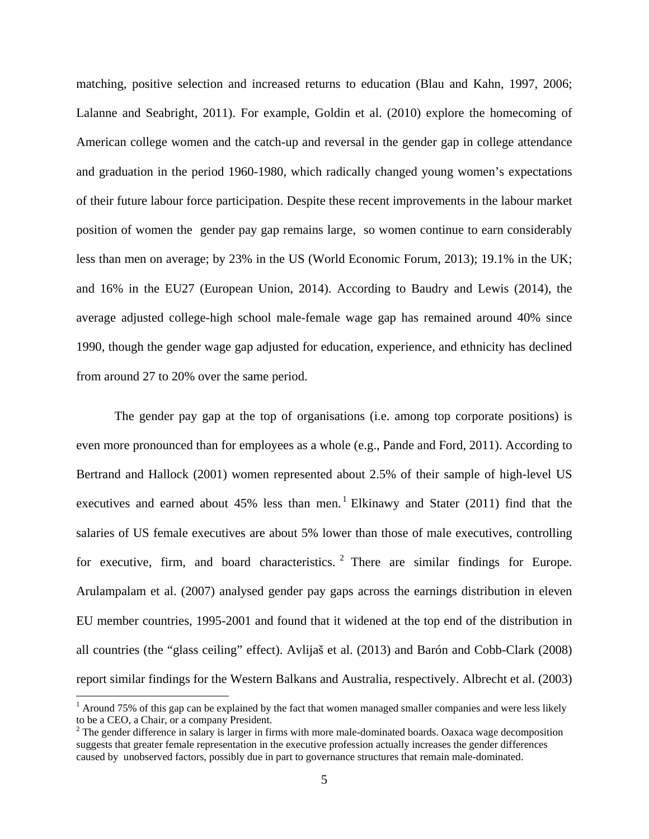matching, positive selection and increased returns to education (Blau and Kahn, 1997, 2006; Lalanne and Seabright, 2011). For example, Goldin et al. (2010) explore the homecoming of American college women and the catch-up and reversal in the gender gap in college attendance and graduation in the period 1960-1980, which radically changed young women's expectations of their future labour force participation. Despite these recent improvements in the labour market position of women the gender pay gap remains large, so women continue to earn considerably less than men on average; by 23% in the US (World Economic Forum, 2013); 19.1% in the UK; and 16% in the EU27 (European Union, 2014). According to Baudry and Lewis (2014), the average adjusted college-high school male-female wage gap has remained around 40% since 1990, though the gender wage gap adjusted for education, experience, and ethnicity has declined from around 27 to 20% over the same period.

The gender pay gap at the top of organisations (i.e. among top corporate positions) is even more pronounced than for employees as a whole (e.g., Pande and Ford, 2011). According to Bertrand and Hallock (2001) women represented about 2.5% of their sample of high-level US executives and earned about  $45\%$  less than men.<sup>1</sup> Elkinawy and Stater (2011) find that the salaries of US female executives are about 5% lower than those of male executives, controlling for executive, firm, and board characteristics.  $2$  There are similar findings for Europe. Arulampalam et al. (2007) analysed gender pay gaps across the earnings distribution in eleven EU member countries, 1995-2001 and found that it widened at the top end of the distribution in all countries (the "glass ceiling" effect). Avlijaš et al. (2013) and Barón and Cobb-Clark (2008) report similar findings for the Western Balkans and Australia, respectively. Albrecht et al. (2003)

 $\overline{\phantom{a}}$ 

 $<sup>1</sup>$  Around 75% of this gap can be explained by the fact that women managed smaller companies and were less likely</sup> to be a CEO, a Chair, or a company President.

<span id="page-6-1"></span><span id="page-6-0"></span> $2$  The gender difference in salary is larger in firms with more male-dominated boards. Oaxaca wage decomposition suggests that greater female representation in the executive profession actually increases the gender differences caused by unobserved factors, possibly due in part to governance structures that remain male-dominated.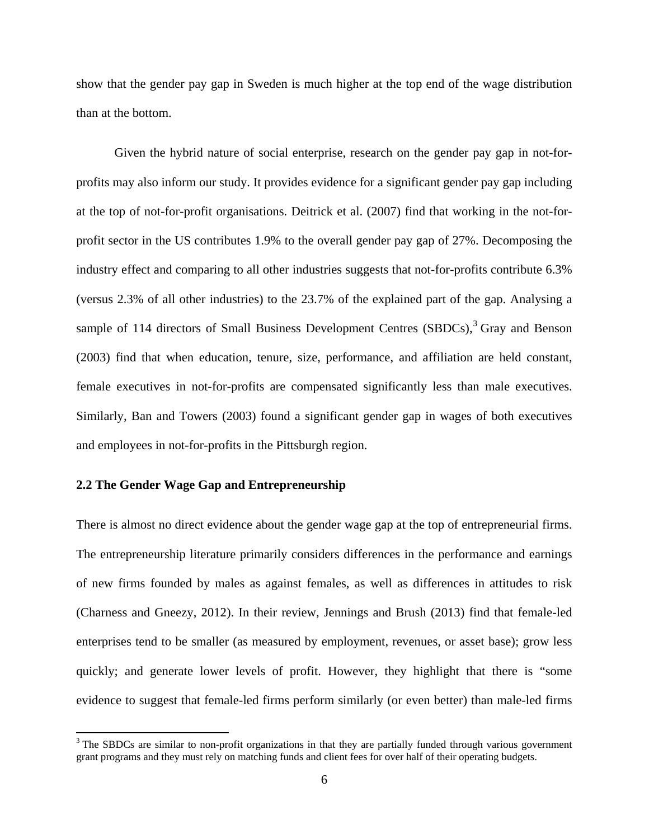show that the gender pay gap in Sweden is much higher at the top end of the wage distribution than at the bottom.

Given the hybrid nature of social enterprise, research on the gender pay gap in not-forprofits may also inform our study. It provides evidence for a significant gender pay gap including at the top of not-for-profit organisations. Deitrick et al. (2007) find that working in the not-forprofit sector in the US contributes 1.9% to the overall gender pay gap of 27%. Decomposing the industry effect and comparing to all other industries suggests that not-for-profits contribute 6.3% (versus 2.3% of all other industries) to the 23.7% of the explained part of the gap. Analysing a sample of 114 directors of Small Business Development Centres  $(SBDCs)$ ,  $3$  Gray and Benson (2003) find that when education, tenure, size, performance, and affiliation are held constant, female executives in not-for-profits are compensated significantly less than male executives. Similarly, Ban and Towers (2003) found a significant gender gap in wages of both executives and employees in not-for-profits in the Pittsburgh region.

#### **2.2 The Gender Wage Gap and Entrepreneurship**

<span id="page-7-0"></span> $\overline{\phantom{a}}$ 

There is almost no direct evidence about the gender wage gap at the top of entrepreneurial firms. The entrepreneurship literature primarily considers differences in the performance and earnings of new firms founded by males as against females, as well as differences in attitudes to risk (Charness and Gneezy, 2012). In their review, Jennings and Brush (2013) find that female-led enterprises tend to be smaller (as measured by employment, revenues, or asset base); grow less quickly; and generate lower levels of profit. However, they highlight that there is "some evidence to suggest that female-led firms perform similarly (or even better) than male-led firms

<sup>&</sup>lt;sup>3</sup> The SBDCs are similar to non-profit organizations in that they are partially funded through various government grant programs and they must rely on matching funds and client fees for over half of their operating budgets.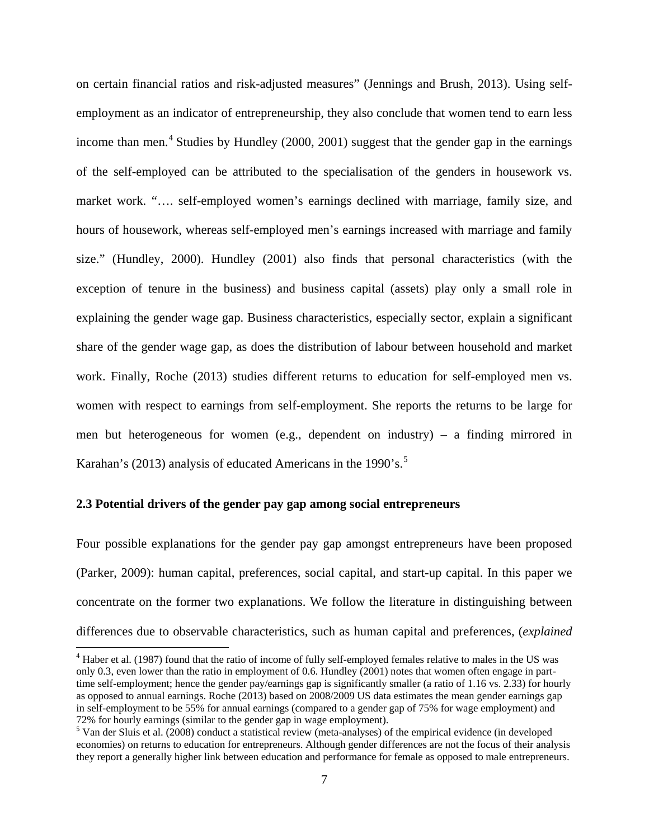on certain financial ratios and risk-adjusted measures" (Jennings and Brush, 2013). Using selfemployment as an indicator of entrepreneurship, they also conclude that women tend to earn less income than men.<sup>[4](#page-7-0)</sup> Studies by Hundley (2000, 2001) suggest that the gender gap in the earnings of the self-employed can be attributed to the specialisation of the genders in housework vs. market work. "…. self-employed women's earnings declined with marriage, family size, and hours of housework, whereas self-employed men's earnings increased with marriage and family size." (Hundley, 2000). Hundley (2001) also finds that personal characteristics (with the exception of tenure in the business) and business capital (assets) play only a small role in explaining the gender wage gap. Business characteristics, especially sector, explain a significant share of the gender wage gap, as does the distribution of labour between household and market work. Finally, Roche (2013) studies different returns to education for self-employed men vs. women with respect to earnings from self-employment. She reports the returns to be large for men but heterogeneous for women (e.g., dependent on industry) – a finding mirrored in Karahan's (2013) analysis of educated Americans in the 1990's.<sup>[5](#page-8-0)</sup>

#### **2.3 Potential drivers of the gender pay gap among social entrepreneurs**

l

Four possible explanations for the gender pay gap amongst entrepreneurs have been proposed (Parker, 2009): human capital, preferences, social capital, and start-up capital. In this paper we concentrate on the former two explanations. We follow the literature in distinguishing between differences due to observable characteristics, such as human capital and preferences, (*explained*

<sup>&</sup>lt;sup>4</sup> Haber et al. (1987) found that the ratio of income of fully self-employed females relative to males in the US was only 0.3, even lower than the ratio in employment of 0.6. Hundley (2001) notes that women often engage in parttime self-employment; hence the gender pay/earnings gap is significantly smaller (a ratio of 1.16 vs. 2.33) for hourly as opposed to annual earnings. Roche (2013) based on 2008/2009 US data estimates the mean gender earnings gap in self-employment to be 55% for annual earnings (compared to a gender gap of 75% for wage employment) and 72% for hourly earnings (similar to the gender gap in wage employment).<br><sup>5</sup> Van der Sluis et al. (2008) conduct a statistical review (meta-analyses) of the empirical evidence (in developed

<span id="page-8-1"></span><span id="page-8-0"></span>economies) on returns to education for entrepreneurs. Although gender differences are not the focus of their analysis they report a generally higher link between education and performance for female as opposed to male entrepreneurs.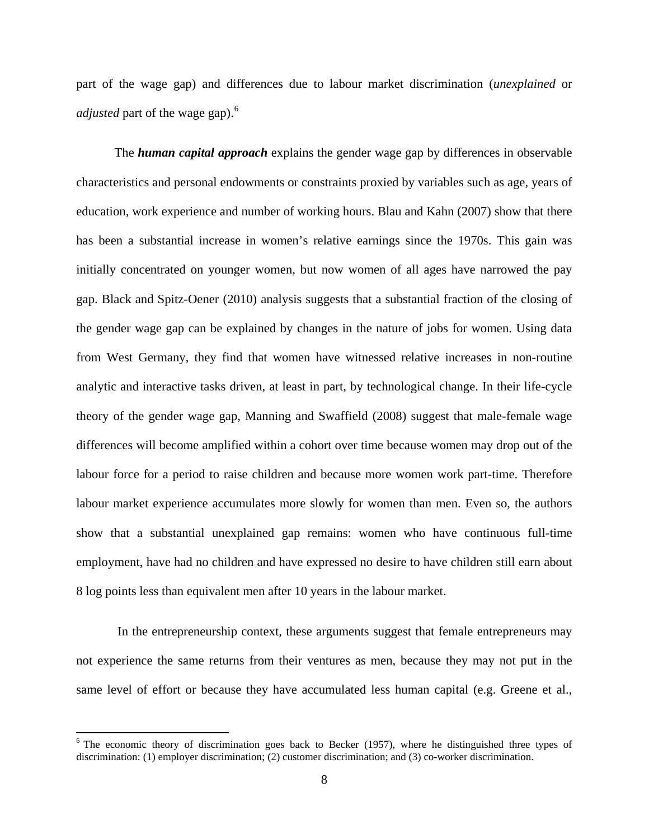part of the wage gap) and differences due to labour market discrimination (*unexplained* or *adjusted* part of the wage gap). [6](#page-8-1)

The *human capital approach* explains the gender wage gap by differences in observable characteristics and personal endowments or constraints proxied by variables such as age, years of education, work experience and number of working hours. Blau and Kahn (2007) show that there has been a substantial increase in women's relative earnings since the 1970s. This gain was initially concentrated on younger women, but now women of all ages have narrowed the pay gap. Black and Spitz-Oener (2010) analysis suggests that a substantial fraction of the closing of the gender wage gap can be explained by changes in the nature of jobs for women. Using data from West Germany, they find that women have witnessed relative increases in non-routine analytic and interactive tasks driven, at least in part, by technological change. In their life-cycle theory of the gender wage gap, Manning and Swaffield (2008) suggest that male-female wage differences will become amplified within a cohort over time because women may drop out of the labour force for a period to raise children and because more women work part-time. Therefore labour market experience accumulates more slowly for women than men. Even so, the authors show that a substantial unexplained gap remains: women who have continuous full-time employment, have had no children and have expressed no desire to have children still earn about 8 log points less than equivalent men after 10 years in the labour market.

In the entrepreneurship context, these arguments suggest that female entrepreneurs may not experience the same returns from their ventures as men, because they may not put in the same level of effort or because they have accumulated less human capital (e.g. Greene et al.,

 $\overline{\phantom{a}}$ 

<span id="page-9-0"></span><sup>&</sup>lt;sup>6</sup> The economic theory of discrimination goes back to Becker (1957), where he distinguished three types of discrimination: (1) employer discrimination; (2) customer discrimination; and (3) co-worker discrimination.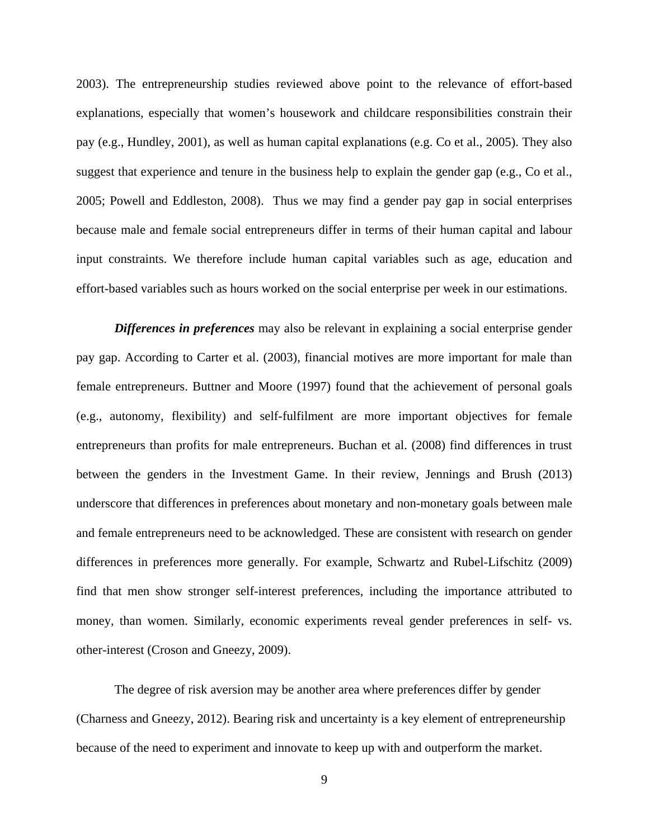2003). The entrepreneurship studies reviewed above point to the relevance of effort-based explanations, especially that women's housework and childcare responsibilities constrain their pay (e.g., Hundley, 2001), as well as human capital explanations (e.g. Co et al., 2005). They also suggest that experience and tenure in the business help to explain the gender gap (e.g., Co et al., 2005; Powell and Eddleston, 2008). Thus we may find a gender pay gap in social enterprises because male and female social entrepreneurs differ in terms of their human capital and labour input constraints. We therefore include human capital variables such as age, education and effort-based variables such as hours worked on the social enterprise per week in our estimations.

*Differences in preferences* may also be relevant in explaining a social enterprise gender pay gap. According to Carter et al. (2003), financial motives are more important for male than female entrepreneurs. Buttner and Moore (1997) found that the achievement of personal goals (e.g., autonomy, flexibility) and self-fulfilment are more important objectives for female entrepreneurs than profits for male entrepreneurs. Buchan et al. (2008) find differences in trust between the genders in the Investment Game. In their review, Jennings and Brush (2013) underscore that differences in preferences about monetary and non-monetary goals between male and female entrepreneurs need to be acknowledged. These are consistent with research on gender differences in preferences more generally. For example, Schwartz and Rubel-Lifschitz (2009) find that men show stronger self-interest preferences, including the importance attributed to money, than women. Similarly, economic experiments reveal gender preferences in self- vs. other-interest (Croson and Gneezy, 2009).

The degree of risk aversion may be another area where preferences differ by gender (Charness and Gneezy, 2012). Bearing risk and uncertainty is a key element of entrepreneurship because of the need to experiment and innovate to keep up with and outperform the market.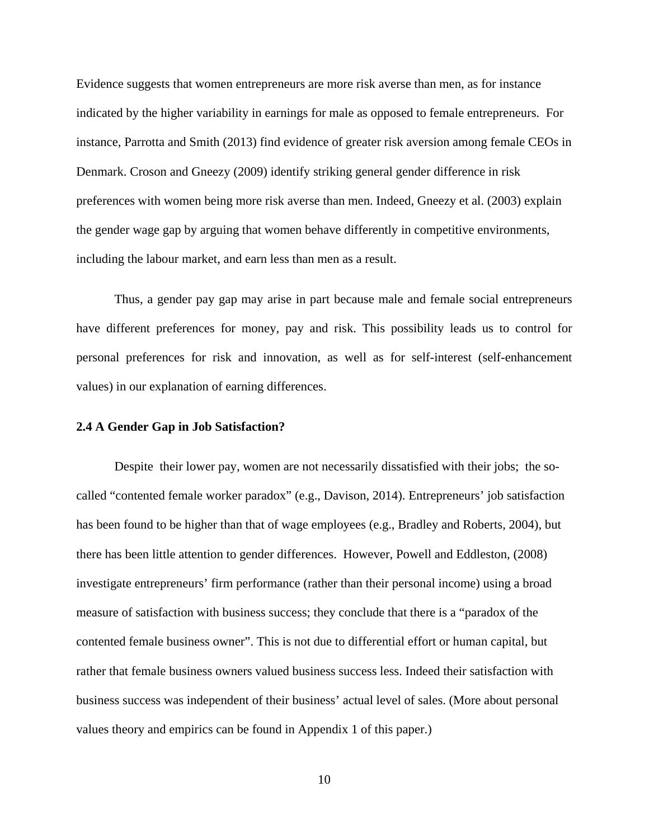Evidence suggests that women entrepreneurs are more risk averse than men, as for instance indicated by the higher variability in earnings for male as opposed to female entrepreneurs. For instance, Parrotta and Smith (2013) find evidence of greater risk aversion among female CEOs in Denmark. Croson and Gneezy (2009) identify striking general gender difference in risk preferences with women being more risk averse than men. Indeed, Gneezy et al. (2003) explain the gender wage gap by arguing that women behave differently in competitive environments, including the labour market, and earn less than men as a result.

Thus, a gender pay gap may arise in part because male and female social entrepreneurs have different preferences for money, pay and risk. This possibility leads us to control for personal preferences for risk and innovation, as well as for self-interest (self-enhancement values) in our explanation of earning differences.

#### **2.4 A Gender Gap in Job Satisfaction?**

Despite their lower pay, women are not necessarily dissatisfied with their jobs; the socalled "contented female worker paradox" (e.g., Davison, 2014). Entrepreneurs' job satisfaction has been found to be higher than that of wage employees (e.g., Bradley and Roberts, 2004), but there has been little attention to gender differences. However, Powell and Eddleston, (2008) investigate entrepreneurs' firm performance (rather than their personal income) using a broad measure of satisfaction with business success; they conclude that there is a "paradox of the contented female business owner". This is not due to differential effort or human capital, but rather that female business owners valued business success less. Indeed their satisfaction with business success was independent of their business' actual level of sales. (More about personal values theory and empirics can be found in Appendix 1 of this paper.)

10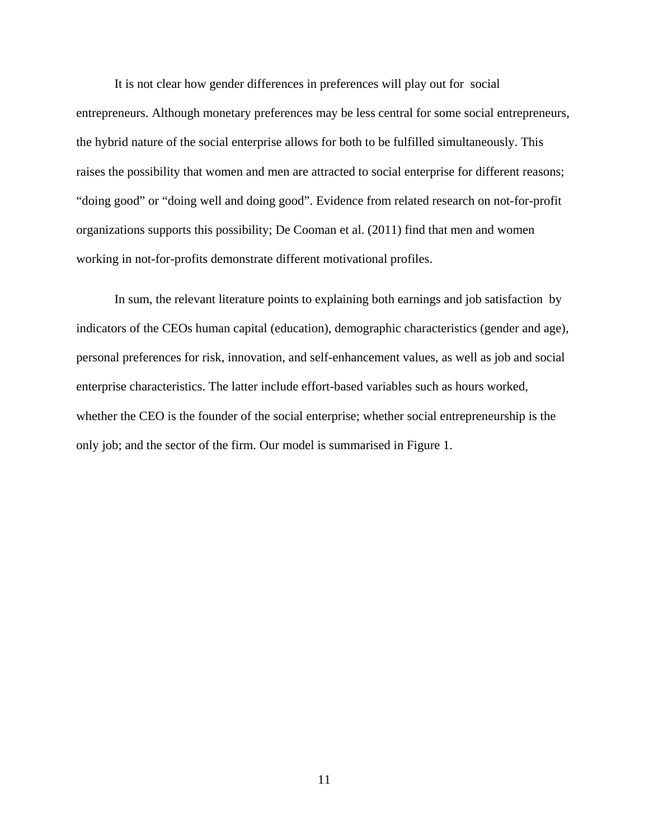It is not clear how gender differences in preferences will play out for social entrepreneurs. Although monetary preferences may be less central for some social entrepreneurs, the hybrid nature of the social enterprise allows for both to be fulfilled simultaneously. This raises the possibility that women and men are attracted to social enterprise for different reasons; "doing good" or "doing well and doing good". Evidence from related research on not-for-profit organizations supports this possibility; De Cooman et al. (2011) find that men and women working in not-for-profits demonstrate different motivational profiles.

In sum, the relevant literature points to explaining both earnings and job satisfaction by indicators of the CEOs human capital (education), demographic characteristics (gender and age), personal preferences for risk, innovation, and self-enhancement values, as well as job and social enterprise characteristics. The latter include effort-based variables such as hours worked, whether the CEO is the founder of the social enterprise; whether social entrepreneurship is the only job; and the sector of the firm. Our model is summarised in Figure 1.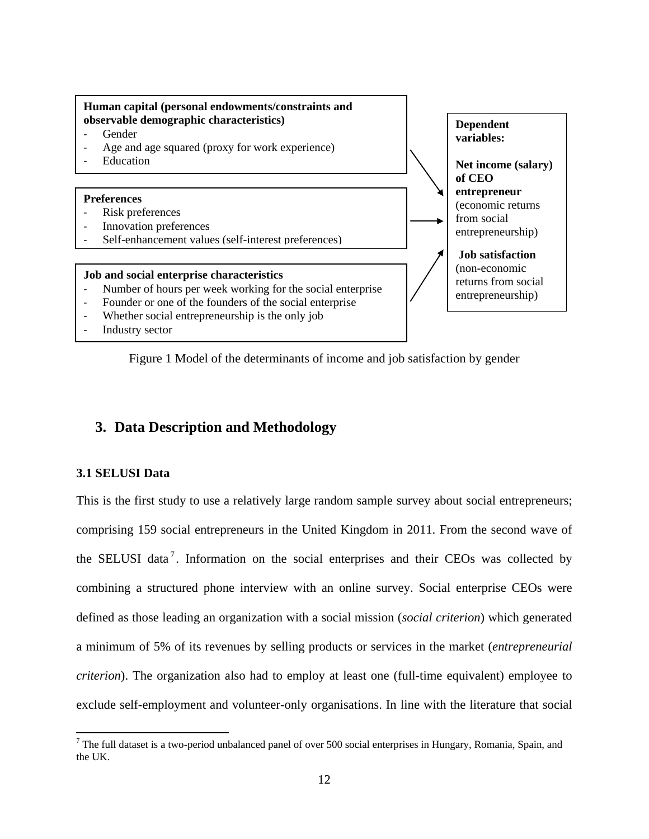

Figure 1 Model of the determinants of income and job satisfaction by gender

### **3. Data Description and Methodology**

#### **3.1 SELUSI Data**

<span id="page-13-0"></span> $\overline{\phantom{a}}$ 

This is the first study to use a relatively large random sample survey about social entrepreneurs; comprising 159 social entrepreneurs in the United Kingdom in 2011. From the second wave of the SELUSI data<sup>[7](#page-9-0)</sup>. Information on the social enterprises and their CEOs was collected by combining a structured phone interview with an online survey. Social enterprise CEOs were defined as those leading an organization with a social mission (*social criterion*) which generated a minimum of 5% of its revenues by selling products or services in the market (*entrepreneurial criterion*). The organization also had to employ at least one (full-time equivalent) employee to exclude self-employment and volunteer-only organisations. In line with the literature that social

 $7$  The full dataset is a two-period unbalanced panel of over 500 social enterprises in Hungary, Romania, Spain, and the UK.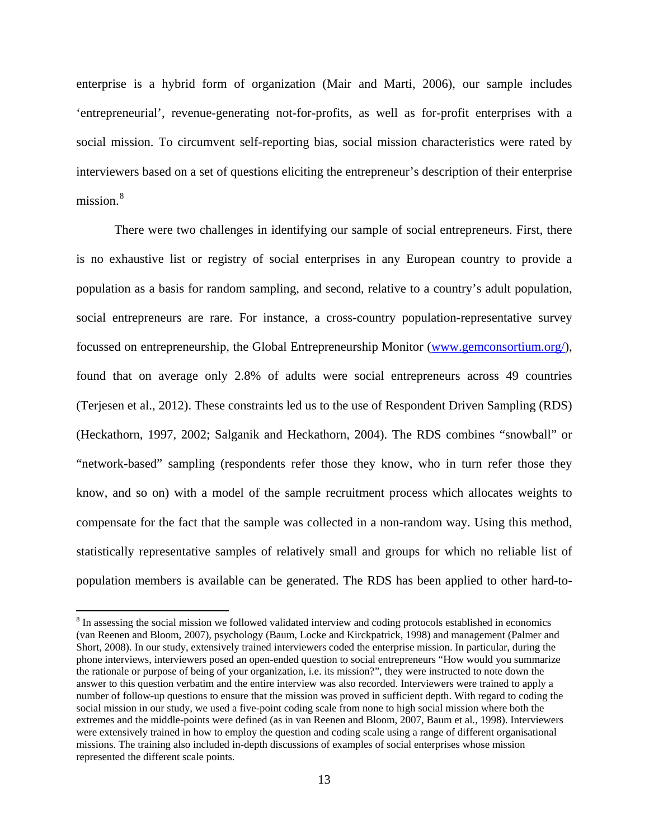enterprise is a hybrid form of organization (Mair and Marti, 2006), our sample includes 'entrepreneurial', revenue-generating not-for-profits, as well as for-profit enterprises with a social mission. To circumvent self-reporting bias, social mission characteristics were rated by interviewers based on a set of questions eliciting the entrepreneur's description of their enterprise mission.<sup>[8](#page-13-0)</sup>

There were two challenges in identifying our sample of social entrepreneurs. First, there is no exhaustive list or registry of social enterprises in any European country to provide a population as a basis for random sampling, and second, relative to a country's adult population, social entrepreneurs are rare. For instance, a cross-country population-representative survey focussed on entrepreneurship, the Global Entrepreneurship Monitor [\(www.gemconsortium.org/\)](http://www.gemconsortium.org/), found that on average only 2.8% of adults were social entrepreneurs across 49 countries (Terjesen et al., 2012). These constraints led us to the use of Respondent Driven Sampling (RDS) (Heckathorn, 1997, 2002; Salganik and Heckathorn, 2004). The RDS combines "snowball" or "network-based" sampling (respondents refer those they know, who in turn refer those they know, and so on) with a model of the sample recruitment process which allocates weights to compensate for the fact that the sample was collected in a non-random way. Using this method, statistically representative samples of relatively small and groups for which no reliable list of population members is available can be generated. The RDS has been applied to other hard-to-

l

<span id="page-14-0"></span><sup>&</sup>lt;sup>8</sup> In assessing the social mission we followed validated interview and coding protocols established in economics (van Reenen and Bloom, 2007), psychology (Baum, Locke and Kirckpatrick, 1998) and management (Palmer and Short, 2008). In our study, extensively trained interviewers coded the enterprise mission. In particular, during the phone interviews, interviewers posed an open-ended question to social entrepreneurs "How would you summarize the rationale or purpose of being of your organization, i.e. its mission?", they were instructed to note down the answer to this question verbatim and the entire interview was also recorded. Interviewers were trained to apply a number of follow-up questions to ensure that the mission was proved in sufficient depth. With regard to coding the social mission in our study, we used a five-point coding scale from none to high social mission where both the extremes and the middle-points were defined (as in van Reenen and Bloom, 2007, Baum et al., 1998). Interviewers were extensively trained in how to employ the question and coding scale using a range of different organisational missions. The training also included in-depth discussions of examples of social enterprises whose mission represented the different scale points.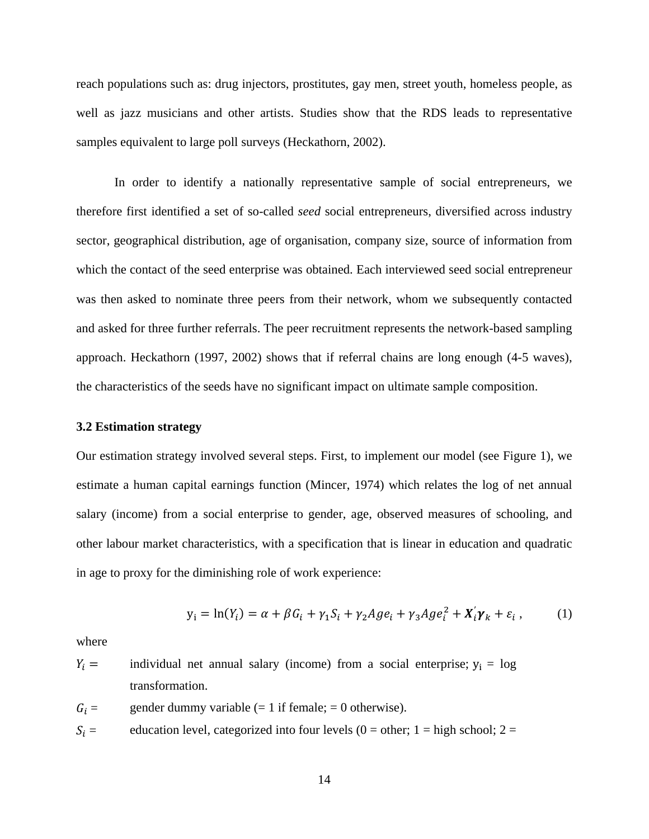reach populations such as: drug injectors, prostitutes, gay men, street youth, homeless people, as well as jazz musicians and other artists. Studies show that the RDS leads to representative samples equivalent to large poll surveys (Heckathorn, 2002).

In order to identify a nationally representative sample of social entrepreneurs, we therefore first identified a set of so-called *seed* social entrepreneurs, diversified across industry sector, geographical distribution, age of organisation, company size, source of information from which the contact of the seed enterprise was obtained. Each interviewed seed social entrepreneur was then asked to nominate three peers from their network, whom we subsequently contacted and asked for three further referrals. The peer recruitment represents the network-based sampling approach. Heckathorn (1997, 2002) shows that if referral chains are long enough (4-5 waves), the characteristics of the seeds have no significant impact on ultimate sample composition.

#### **3.2 Estimation strategy**

Our estimation strategy involved several steps. First, to implement our model (see Figure 1), we estimate a human capital earnings function (Mincer, 1974) which relates the log of net annual salary (income) from a social enterprise to gender, age, observed measures of schooling, and other labour market characteristics, with a specification that is linear in education and quadratic in age to proxy for the diminishing role of work experience:

$$
y_i = \ln(Y_i) = \alpha + \beta G_i + \gamma_1 S_i + \gamma_2 A g e_i + \gamma_3 A g e_i^2 + X_i' \gamma_k + \varepsilon_i , \qquad (1)
$$

where

$$
Y_i
$$
 = individual net annual salary (income) from a social enterprise;  $y_i$  = log  
transformation.

- $G_i =$  gender dummy variable (= 1 if female; = 0 otherwise).
- $S_i =$  education level, categorized into four levels (0 = other; 1 = high school; 2 =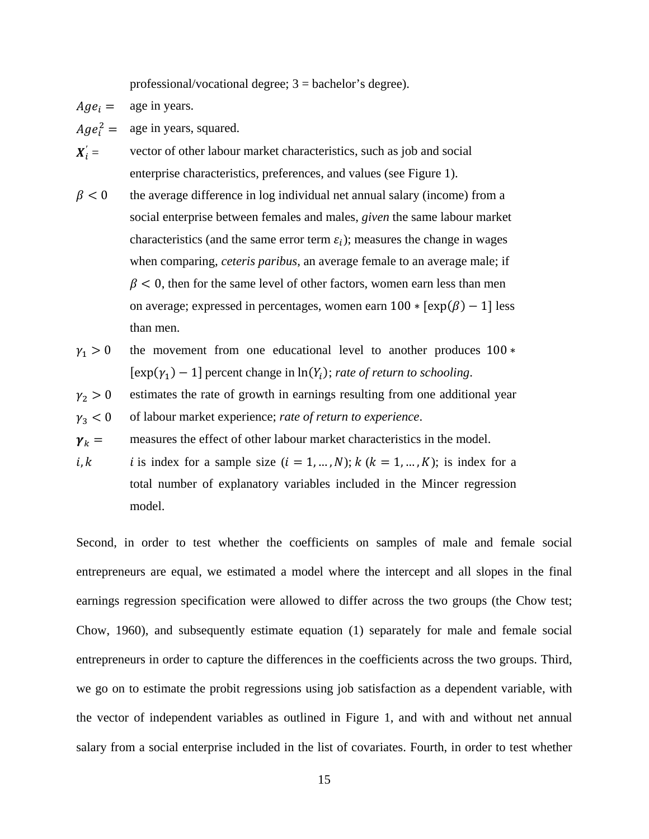professional/vocational degree;  $3 =$  bachelor's degree).

 $Age_i = \text{age in years.}$ 

 $Age_i^2 =$ age in years, squared.

 $X_i' =$ *vector of other labour market characteristics, such as job and social* enterprise characteristics, preferences, and values (see Figure 1).

- $\beta$  < 0 the average difference in log individual net annual salary (income) from a social enterprise between females and males, *given* the same labour market characteristics (and the same error term  $\varepsilon_i$ ); measures the change in wages when comparing, *ceteris paribus*, an average female to an average male; if  $\beta$  < 0, then for the same level of other factors, women earn less than men on average; expressed in percentages, women earn  $100 * [exp(\beta) - 1]$  less than men.
- $\gamma_1 > 0$  the movement from one educational level to another produces 100  $*$  $[\exp(\gamma_1) - 1]$  percent change in  $\ln(Y_i)$ ; *rate of return to schooling*.
- $\gamma_2 > 0$ estimates the rate of growth in earnings resulting from one additional year

 $\gamma_3 < 0$ of labour market experience; *rate of return to experience*.

 $\gamma_k$  = measures the effect of other labour market characteristics in the model.

 $i, k$  is index for a sample size  $(i = 1, ..., N); k (k = 1, ..., K);$  is index for a total number of explanatory variables included in the Mincer regression model.

Second, in order to test whether the coefficients on samples of male and female social entrepreneurs are equal, we estimated a model where the intercept and all slopes in the final earnings regression specification were allowed to differ across the two groups (the Chow test; Chow, 1960), and subsequently estimate equation (1) separately for male and female social entrepreneurs in order to capture the differences in the coefficients across the two groups. Third, we go on to estimate the probit regressions using job satisfaction as a dependent variable, with the vector of independent variables as outlined in Figure 1, and with and without net annual salary from a social enterprise included in the list of covariates. Fourth, in order to test whether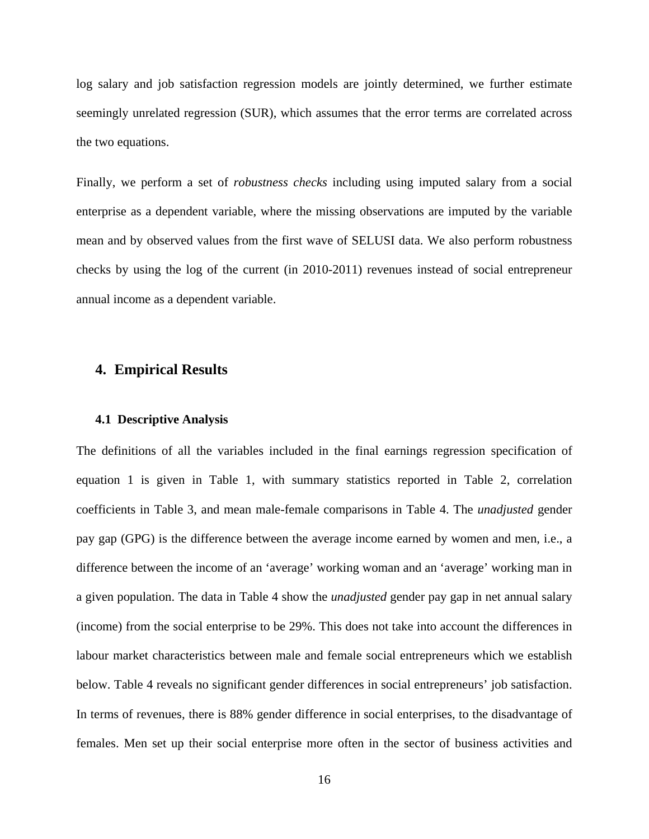log salary and job satisfaction regression models are jointly determined, we further estimate seemingly unrelated regression (SUR), which assumes that the error terms are correlated across the two equations.

Finally, we perform a set of *robustness checks* including using imputed salary from a social enterprise as a dependent variable, where the missing observations are imputed by the variable mean and by observed values from the first wave of SELUSI data. We also perform robustness checks by using the log of the current (in 2010-2011) revenues instead of social entrepreneur annual income as a dependent variable.

### **4. Empirical Results**

#### **4.1 Descriptive Analysis**

The definitions of all the variables included in the final earnings regression specification of equation 1 is given in Table 1, with summary statistics reported in Table 2, correlation coefficients in Table 3, and mean male-female comparisons in Table 4. The *unadjusted* gender pay gap (GPG) is the difference between the average income earned by women and men, i.e., a difference between the income of an 'average' working woman and an 'average' working man in a given population. The data in Table 4 show the *unadjusted* gender pay gap in net annual salary (income) from the social enterprise to be 29%. This does not take into account the differences in labour market characteristics between male and female social entrepreneurs which we establish below. Table 4 reveals no significant gender differences in social entrepreneurs' job satisfaction. In terms of revenues, there is 88% gender difference in social enterprises, to the disadvantage of females. Men set up their social enterprise more often in the sector of business activities and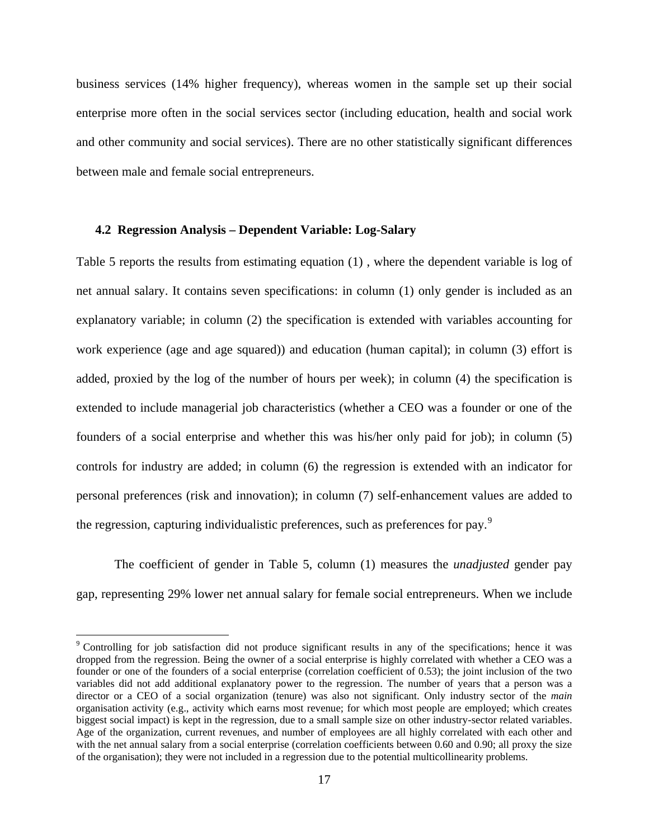business services (14% higher frequency), whereas women in the sample set up their social enterprise more often in the social services sector (including education, health and social work and other community and social services). There are no other statistically significant differences between male and female social entrepreneurs.

#### **4.2 Regression Analysis – Dependent Variable: Log-Salary**

Table 5 reports the results from estimating equation (1) , where the dependent variable is log of net annual salary. It contains seven specifications: in column (1) only gender is included as an explanatory variable; in column (2) the specification is extended with variables accounting for work experience (age and age squared)) and education (human capital); in column (3) effort is added, proxied by the log of the number of hours per week); in column (4) the specification is extended to include managerial job characteristics (whether a CEO was a founder or one of the founders of a social enterprise and whether this was his/her only paid for job); in column (5) controls for industry are added; in column (6) the regression is extended with an indicator for personal preferences (risk and innovation); in column (7) self-enhancement values are added to the regression, capturing individualistic preferences, such as preferences for pay.<sup>[9](#page-14-0)</sup>

The coefficient of gender in Table 5, column (1) measures the *unadjusted* gender pay gap, representing 29% lower net annual salary for female social entrepreneurs. When we include

 $\overline{\phantom{a}}$ 

<sup>&</sup>lt;sup>9</sup> Controlling for job satisfaction did not produce significant results in any of the specifications; hence it was dropped from the regression. Being the owner of a social enterprise is highly correlated with whether a CEO was a founder or one of the founders of a social enterprise (correlation coefficient of 0.53); the joint inclusion of the two variables did not add additional explanatory power to the regression. The number of years that a person was a director or a CEO of a social organization (tenure) was also not significant. Only industry sector of the *main* organisation activity (e.g., activity which earns most revenue; for which most people are employed; which creates biggest social impact) is kept in the regression, due to a small sample size on other industry-sector related variables. Age of the organization, current revenues, and number of employees are all highly correlated with each other and with the net annual salary from a social enterprise (correlation coefficients between 0.60 and 0.90; all proxy the size of the organisation); they were not included in a regression due to the potential multicollinearity problems.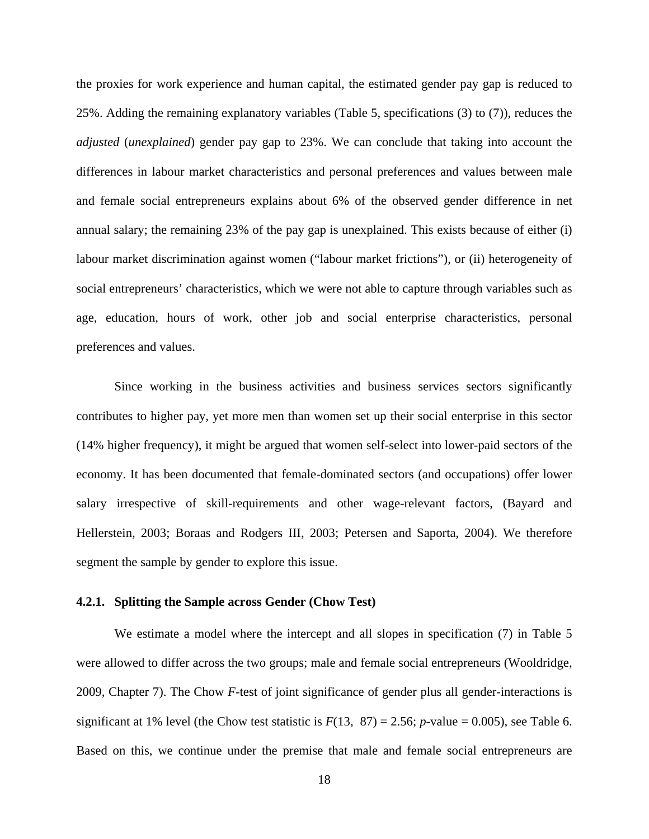the proxies for work experience and human capital, the estimated gender pay gap is reduced to 25%. Adding the remaining explanatory variables (Table 5, specifications (3) to (7)), reduces the *adjusted* (*unexplained*) gender pay gap to 23%. We can conclude that taking into account the differences in labour market characteristics and personal preferences and values between male and female social entrepreneurs explains about 6% of the observed gender difference in net annual salary; the remaining 23% of the pay gap is unexplained. This exists because of either (i) labour market discrimination against women ("labour market frictions"), or (ii) heterogeneity of social entrepreneurs' characteristics, which we were not able to capture through variables such as age, education, hours of work, other job and social enterprise characteristics, personal preferences and values.

Since working in the business activities and business services sectors significantly contributes to higher pay, yet more men than women set up their social enterprise in this sector (14% higher frequency), it might be argued that women self-select into lower-paid sectors of the economy. It has been documented that female-dominated sectors (and occupations) offer lower salary irrespective of skill-requirements and other wage-relevant factors, (Bayard and Hellerstein, 2003; Boraas and Rodgers III, 2003; Petersen and Saporta, 2004). We therefore segment the sample by gender to explore this issue.

#### **4.2.1. Splitting the Sample across Gender (Chow Test)**

We estimate a model where the intercept and all slopes in specification (7) in Table 5 were allowed to differ across the two groups; male and female social entrepreneurs (Wooldridge, 2009, Chapter 7). The Chow *F*-test of joint significance of gender plus all gender-interactions is significant at 1% level (the Chow test statistic is  $F(13, 87) = 2.56$ ; *p*-value = 0.005), see Table 6. Based on this, we continue under the premise that male and female social entrepreneurs are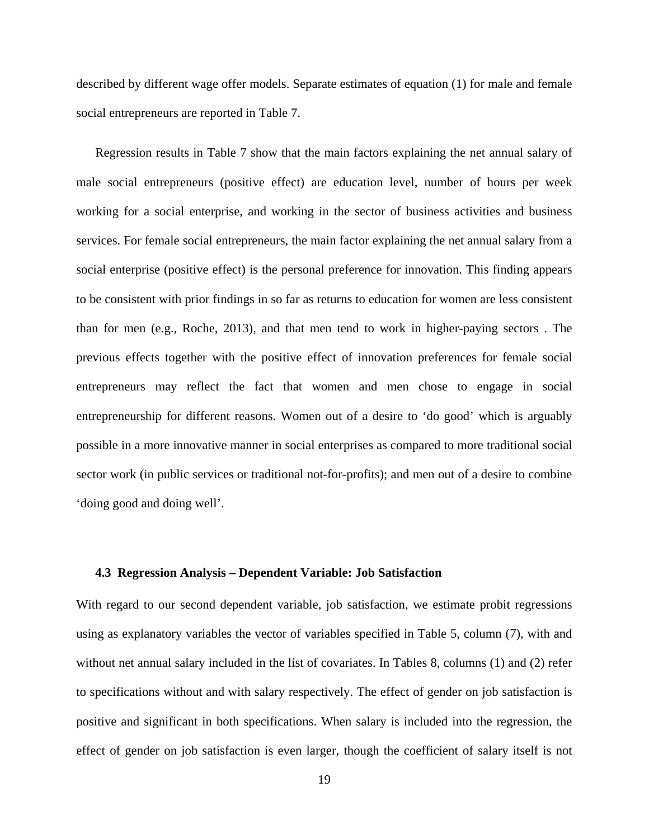described by different wage offer models. Separate estimates of equation (1) for male and female social entrepreneurs are reported in Table 7.

Regression results in Table 7 show that the main factors explaining the net annual salary of male social entrepreneurs (positive effect) are education level, number of hours per week working for a social enterprise, and working in the sector of business activities and business services. For female social entrepreneurs, the main factor explaining the net annual salary from a social enterprise (positive effect) is the personal preference for innovation. This finding appears to be consistent with prior findings in so far as returns to education for women are less consistent than for men (e.g., Roche, 2013), and that men tend to work in higher-paying sectors . The previous effects together with the positive effect of innovation preferences for female social entrepreneurs may reflect the fact that women and men chose to engage in social entrepreneurship for different reasons. Women out of a desire to 'do good' which is arguably possible in a more innovative manner in social enterprises as compared to more traditional social sector work (in public services or traditional not-for-profits); and men out of a desire to combine 'doing good and doing well'.

#### **4.3 Regression Analysis – Dependent Variable: Job Satisfaction**

With regard to our second dependent variable, job satisfaction, we estimate probit regressions using as explanatory variables the vector of variables specified in Table 5, column (7), with and without net annual salary included in the list of covariates. In Tables 8, columns (1) and (2) refer to specifications without and with salary respectively. The effect of gender on job satisfaction is positive and significant in both specifications. When salary is included into the regression, the effect of gender on job satisfaction is even larger, though the coefficient of salary itself is not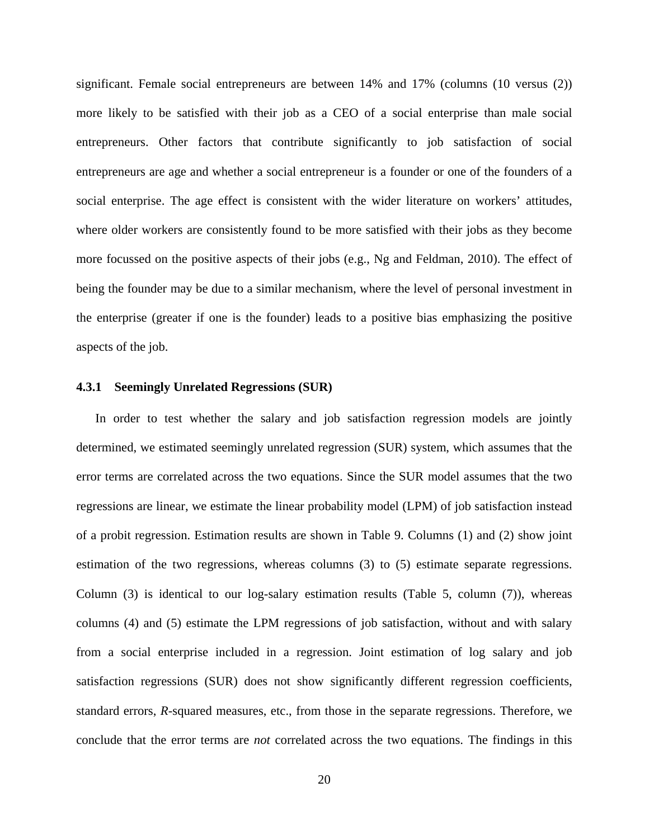significant. Female social entrepreneurs are between 14% and 17% (columns (10 versus (2)) more likely to be satisfied with their job as a CEO of a social enterprise than male social entrepreneurs. Other factors that contribute significantly to job satisfaction of social entrepreneurs are age and whether a social entrepreneur is a founder or one of the founders of a social enterprise. The age effect is consistent with the wider literature on workers' attitudes, where older workers are consistently found to be more satisfied with their jobs as they become more focussed on the positive aspects of their jobs (e.g., Ng and Feldman, 2010). The effect of being the founder may be due to a similar mechanism, where the level of personal investment in the enterprise (greater if one is the founder) leads to a positive bias emphasizing the positive aspects of the job.

#### **4.3.1 Seemingly Unrelated Regressions (SUR)**

In order to test whether the salary and job satisfaction regression models are jointly determined, we estimated seemingly unrelated regression (SUR) system, which assumes that the error terms are correlated across the two equations. Since the SUR model assumes that the two regressions are linear, we estimate the linear probability model (LPM) of job satisfaction instead of a probit regression. Estimation results are shown in Table 9. Columns (1) and (2) show joint estimation of the two regressions, whereas columns (3) to (5) estimate separate regressions. Column (3) is identical to our log-salary estimation results (Table 5, column (7)), whereas columns (4) and (5) estimate the LPM regressions of job satisfaction, without and with salary from a social enterprise included in a regression. Joint estimation of log salary and job satisfaction regressions (SUR) does not show significantly different regression coefficients, standard errors, *R*-squared measures, etc., from those in the separate regressions. Therefore, we conclude that the error terms are *not* correlated across the two equations. The findings in this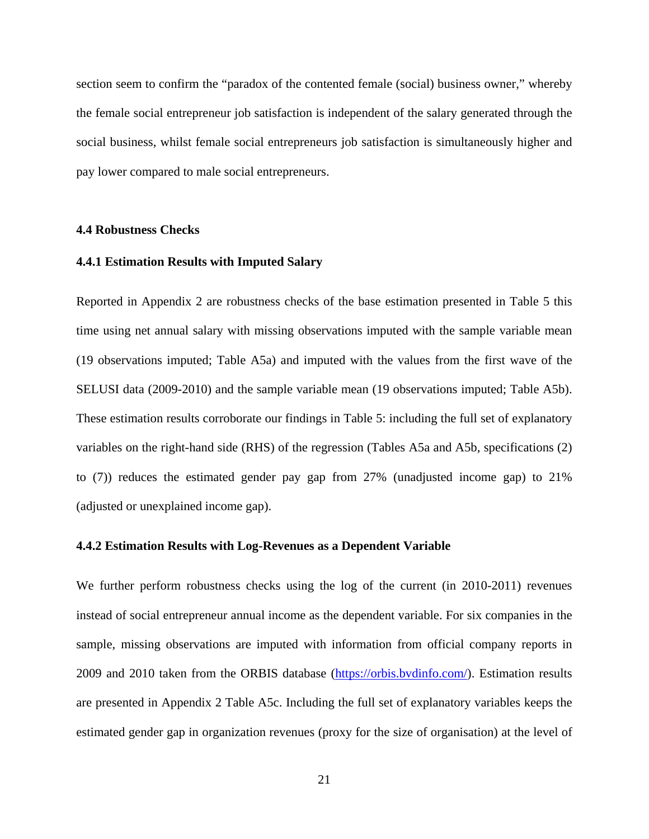section seem to confirm the "paradox of the contented female (social) business owner," whereby the female social entrepreneur job satisfaction is independent of the salary generated through the social business, whilst female social entrepreneurs job satisfaction is simultaneously higher and pay lower compared to male social entrepreneurs.

#### **4.4 Robustness Checks**

#### **4.4.1 Estimation Results with Imputed Salary**

Reported in Appendix 2 are robustness checks of the base estimation presented in Table 5 this time using net annual salary with missing observations imputed with the sample variable mean (19 observations imputed; Table A5a) and imputed with the values from the first wave of the SELUSI data (2009-2010) and the sample variable mean (19 observations imputed; Table A5b). These estimation results corroborate our findings in Table 5: including the full set of explanatory variables on the right-hand side (RHS) of the regression (Tables A5a and A5b, specifications (2) to (7)) reduces the estimated gender pay gap from 27% (unadjusted income gap) to 21% (adjusted or unexplained income gap).

#### **4.4.2 Estimation Results with Log-Revenues as a Dependent Variable**

We further perform robustness checks using the log of the current (in 2010-2011) revenues instead of social entrepreneur annual income as the dependent variable. For six companies in the sample, missing observations are imputed with information from official company reports in 2009 and 2010 taken from the ORBIS database [\(https://orbis.bvdinfo.com/\)](https://orbis.bvdinfo.com/). Estimation results are presented in Appendix 2 Table A5c. Including the full set of explanatory variables keeps the estimated gender gap in organization revenues (proxy for the size of organisation) at the level of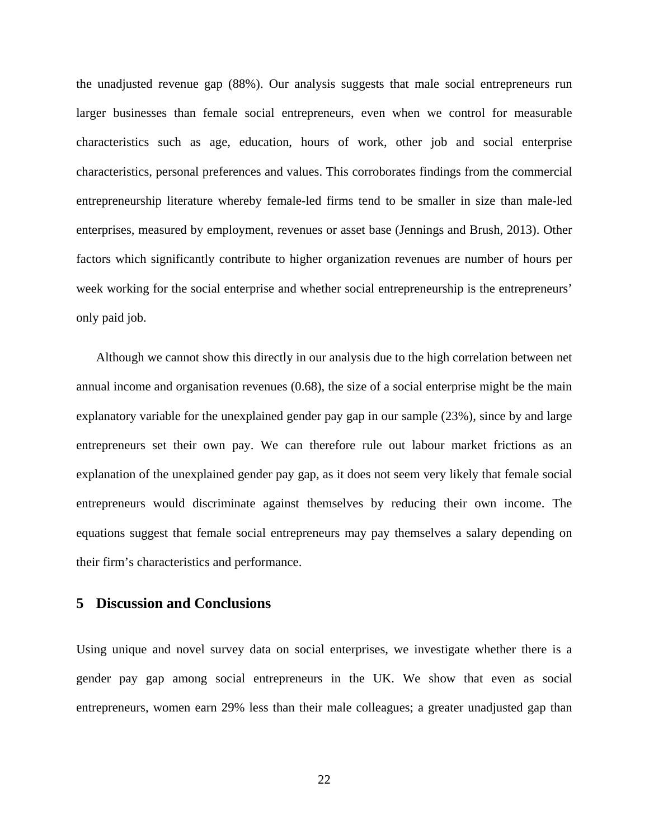the unadjusted revenue gap (88%). Our analysis suggests that male social entrepreneurs run larger businesses than female social entrepreneurs, even when we control for measurable characteristics such as age, education, hours of work, other job and social enterprise characteristics, personal preferences and values. This corroborates findings from the commercial entrepreneurship literature whereby female-led firms tend to be smaller in size than male-led enterprises, measured by employment, revenues or asset base (Jennings and Brush, 2013). Other factors which significantly contribute to higher organization revenues are number of hours per week working for the social enterprise and whether social entrepreneurship is the entrepreneurs' only paid job.

Although we cannot show this directly in our analysis due to the high correlation between net annual income and organisation revenues (0.68), the size of a social enterprise might be the main explanatory variable for the unexplained gender pay gap in our sample (23%), since by and large entrepreneurs set their own pay. We can therefore rule out labour market frictions as an explanation of the unexplained gender pay gap, as it does not seem very likely that female social entrepreneurs would discriminate against themselves by reducing their own income. The equations suggest that female social entrepreneurs may pay themselves a salary depending on their firm's characteristics and performance.

#### **5 Discussion and Conclusions**

Using unique and novel survey data on social enterprises, we investigate whether there is a gender pay gap among social entrepreneurs in the UK. We show that even as social entrepreneurs, women earn 29% less than their male colleagues; a greater unadjusted gap than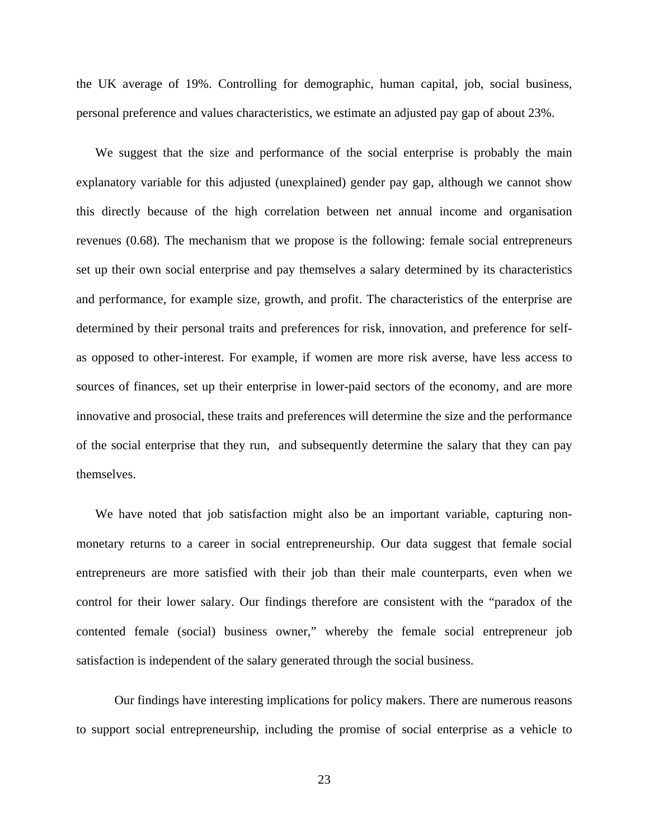the UK average of 19%. Controlling for demographic, human capital, job, social business, personal preference and values characteristics, we estimate an adjusted pay gap of about 23%.

We suggest that the size and performance of the social enterprise is probably the main explanatory variable for this adjusted (unexplained) gender pay gap, although we cannot show this directly because of the high correlation between net annual income and organisation revenues (0.68). The mechanism that we propose is the following: female social entrepreneurs set up their own social enterprise and pay themselves a salary determined by its characteristics and performance, for example size, growth, and profit. The characteristics of the enterprise are determined by their personal traits and preferences for risk, innovation, and preference for selfas opposed to other-interest. For example, if women are more risk averse, have less access to sources of finances, set up their enterprise in lower-paid sectors of the economy, and are more innovative and prosocial, these traits and preferences will determine the size and the performance of the social enterprise that they run, and subsequently determine the salary that they can pay themselves.

We have noted that job satisfaction might also be an important variable, capturing nonmonetary returns to a career in social entrepreneurship. Our data suggest that female social entrepreneurs are more satisfied with their job than their male counterparts, even when we control for their lower salary. Our findings therefore are consistent with the "paradox of the contented female (social) business owner," whereby the female social entrepreneur job satisfaction is independent of the salary generated through the social business.

Our findings have interesting implications for policy makers. There are numerous reasons to support social entrepreneurship, including the promise of social enterprise as a vehicle to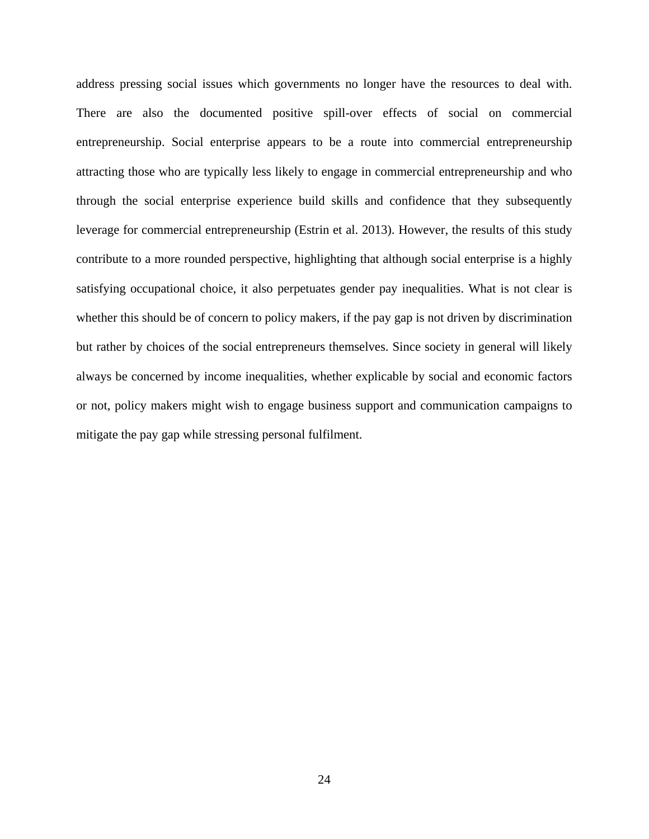address pressing social issues which governments no longer have the resources to deal with. There are also the documented positive spill-over effects of social on commercial entrepreneurship. Social enterprise appears to be a route into commercial entrepreneurship attracting those who are typically less likely to engage in commercial entrepreneurship and who through the social enterprise experience build skills and confidence that they subsequently leverage for commercial entrepreneurship (Estrin et al. 2013). However, the results of this study contribute to a more rounded perspective, highlighting that although social enterprise is a highly satisfying occupational choice, it also perpetuates gender pay inequalities. What is not clear is whether this should be of concern to policy makers, if the pay gap is not driven by discrimination but rather by choices of the social entrepreneurs themselves. Since society in general will likely always be concerned by income inequalities, whether explicable by social and economic factors or not, policy makers might wish to engage business support and communication campaigns to mitigate the pay gap while stressing personal fulfilment.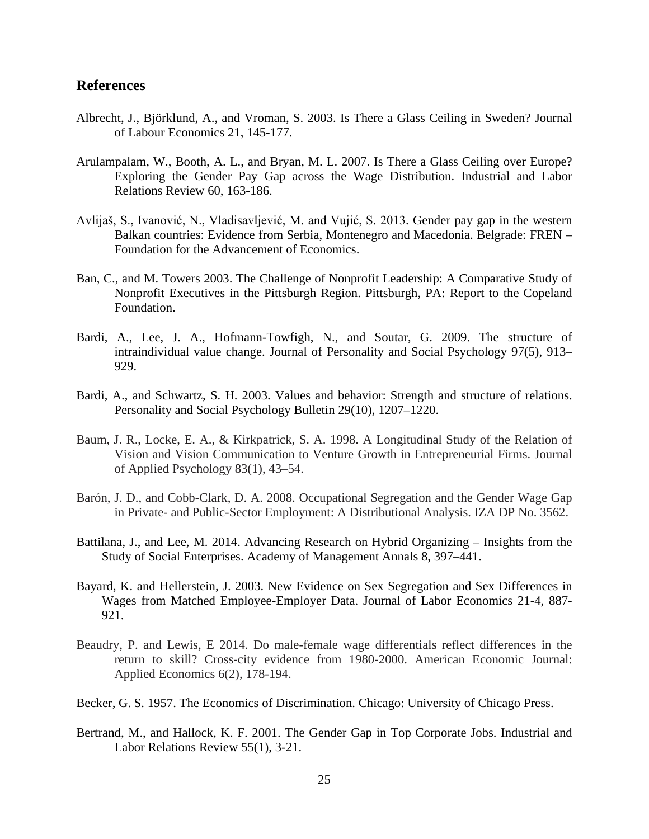#### **References**

- Albrecht, J., Björklund, A., and Vroman, S. 2003. Is There a Glass Ceiling in Sweden? Journal of Labour Economics 21, 145-177.
- Arulampalam, W., Booth, A. L., and Bryan, M. L. 2007. Is There a Glass Ceiling over Europe? Exploring the Gender Pay Gap across the Wage Distribution. Industrial and Labor Relations Review 60, 163-186.
- Avlijaš, S., Ivanović, N., Vladisavljević, M. and Vujić, S. 2013. Gender pay gap in the western Balkan countries: Evidence from Serbia, Montenegro and Macedonia. Belgrade: FREN – Foundation for the Advancement of Economics.
- Ban, C., and M. Towers 2003. The Challenge of Nonprofit Leadership: A Comparative Study of Nonprofit Executives in the Pittsburgh Region. Pittsburgh, PA: Report to the Copeland Foundation.
- Bardi, A., Lee, J. A., Hofmann-Towfigh, N., and Soutar, G. 2009. The structure of intraindividual value change. Journal of Personality and Social Psychology 97(5), 913– 929.
- Bardi, A., and Schwartz, S. H. 2003. Values and behavior: Strength and structure of relations. Personality and Social Psychology Bulletin 29(10), 1207–1220.
- Baum, J. R., Locke, E. A., & Kirkpatrick, S. A. 1998. A Longitudinal Study of the Relation of Vision and Vision Communication to Venture Growth in Entrepreneurial Firms. Journal of Applied Psychology 83(1), 43–54.
- Barón, J. D., and Cobb-Clark, D. A. 2008. Occupational Segregation and the Gender Wage Gap in Private- and Public-Sector Employment: A Distributional Analysis. IZA DP No. 3562.
- Battilana, J., and Lee, M. 2014. Advancing Research on Hybrid Organizing Insights from the Study of Social Enterprises. Academy of Management Annals 8, 397–441.
- Bayard, K. and Hellerstein, J. 2003. New Evidence on Sex Segregation and Sex Differences in Wages from Matched Employee-Employer Data. Journal of Labor Economics 21-4, 887- 921.
- Beaudry, P. and Lewis, E 2014. Do male-female wage differentials reflect differences in the return to skill? Cross-city evidence from 1980-2000. American Economic Journal: Applied Economics 6(2), 178-194.
- Becker, G. S. 1957. The Economics of Discrimination. Chicago: University of Chicago Press.
- Bertrand, M., and Hallock, K. F. 2001. The Gender Gap in Top Corporate Jobs. Industrial and Labor Relations Review 55(1), 3-21.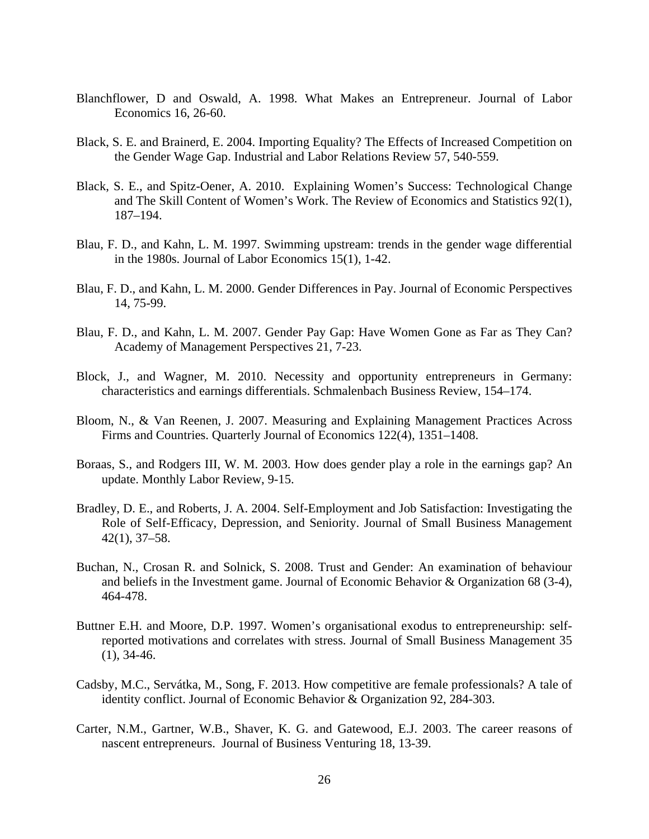- Blanchflower, D and Oswald, A. 1998. What Makes an Entrepreneur. Journal of Labor Economics 16, 26-60.
- Black, S. E. and Brainerd, E. 2004. Importing Equality? The Effects of Increased Competition on the Gender Wage Gap. Industrial and Labor Relations Review 57, 540-559.
- Black, S. E., and Spitz-Oener, A. 2010. Explaining Women's Success: Technological Change and The Skill Content of Women's Work. The Review of Economics and Statistics 92(1), 187–194.
- Blau, F. D., and Kahn, L. M. 1997. Swimming upstream: trends in the gender wage differential in the 1980s. Journal of Labor Economics 15(1), 1-42.
- Blau, F. D., and Kahn, L. M. 2000. Gender Differences in Pay. Journal of Economic Perspectives 14, 75-99.
- Blau, F. D., and Kahn, L. M. 2007. Gender Pay Gap: Have Women Gone as Far as They Can? Academy of Management Perspectives 21, 7-23.
- Block, J., and Wagner, M. 2010. Necessity and opportunity entrepreneurs in Germany: characteristics and earnings differentials. Schmalenbach Business Review, 154–174.
- Bloom, N., & Van Reenen, J. 2007. Measuring and Explaining Management Practices Across Firms and Countries. Quarterly Journal of Economics 122(4), 1351–1408.
- Boraas, S., and Rodgers III, W. M. 2003. How does gender play a role in the earnings gap? An update. Monthly Labor Review, 9-15.
- Bradley, D. E., and Roberts, J. A. 2004. Self-Employment and Job Satisfaction: Investigating the Role of Self-Efficacy, Depression, and Seniority. Journal of Small Business Management 42(1), 37–58.
- Buchan, N., Crosan R. and Solnick, S. 2008. Trust and Gender: An examination of behaviour and beliefs in the Investment game. Journal of Economic Behavior & Organization 68 (3-4), 464-478.
- Buttner E.H. and Moore, D.P. 1997. Women's organisational exodus to entrepreneurship: selfreported motivations and correlates with stress. Journal of Small Business Management 35 (1), 34-46.
- Cadsby, M.C., Servátka, M., Song, F. 2013. [How competitive are female professionals? A tale of](http://www.sciencedirect.com/science/article/pii/S0167268113001455)  [identity conflict.](http://www.sciencedirect.com/science/article/pii/S0167268113001455) Journal of Economic Behavior & Organization 92, 284-303.
- Carter, N.M., Gartner, W.B., Shaver, K. G. and Gatewood, E.J. 2003. The career reasons of nascent entrepreneurs. Journal of Business Venturing 18, 13-39.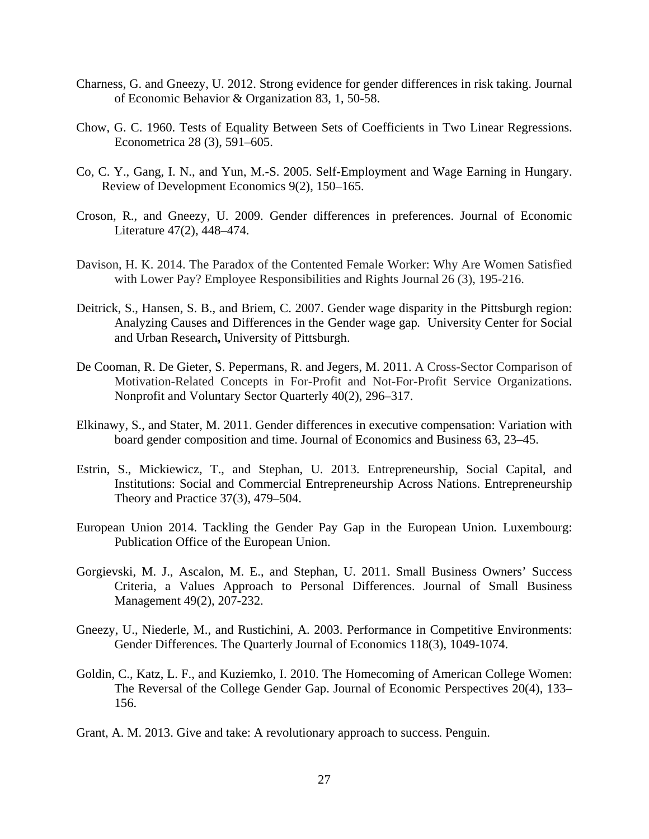- Charness, G. and Gneezy, U. 2012. Strong evidence for gender differences in risk taking. Journal of Economic Behavior & Organization 83, 1, 50-58.
- Chow, G. C. 1960. Tests of Equality Between Sets of Coefficients in Two Linear Regressions. Econometrica 28 (3), 591–605.
- Co, C. Y., Gang, I. N., and Yun, M.-S. 2005. Self-Employment and Wage Earning in Hungary. Review of Development Economics 9(2), 150–165.
- Croson, R., and Gneezy, U. 2009. Gender differences in preferences. Journal of Economic Literature 47(2), 448–474.
- Davison, H. K. 2014. The Paradox of the Contented Female Worker: Why Are Women Satisfied with Lower Pay? Employee Responsibilities and Rights Journal 26 (3), 195-216.
- Deitrick, S., Hansen, S. B., and Briem, C. 2007. Gender wage disparity in the Pittsburgh region: Analyzing Causes and Differences in the Gender wage gap*.* University Center for Social and Urban Research**,** University of Pittsburgh.
- De Cooman, R. De Gieter, S. Pepermans, R. and Jegers, M. 2011. A Cross-Sector Comparison of Motivation-Related Concepts in For-Profit and Not-For-Profit Service Organizations. Nonprofit and Voluntary Sector Quarterly 40(2), 296–317.
- Elkinawy, S., and Stater, M. 2011. Gender differences in executive compensation: Variation with board gender composition and time. Journal of Economics and Business 63, 23–45.
- Estrin, S., Mickiewicz, T., and Stephan, U. 2013. Entrepreneurship, Social Capital, and Institutions: Social and Commercial Entrepreneurship Across Nations. Entrepreneurship Theory and Practice 37(3), 479–504.
- European Union 2014. Tackling the Gender Pay Gap in the European Union*.* Luxembourg: Publication Office of the European Union.
- Gorgievski, M. J., Ascalon, M. E., and Stephan, U. 2011. Small Business Owners' Success Criteria, a Values Approach to Personal Differences. Journal of Small Business Management 49(2), 207-232.
- Gneezy, U., Niederle, M., and Rustichini, A. 2003. Performance in Competitive Environments: Gender Differences. The Quarterly Journal of Economics 118(3), 1049-1074.
- Goldin, C., Katz, L. F., and Kuziemko, I. 2010. The Homecoming of American College Women: The Reversal of the College Gender Gap. Journal of Economic Perspectives 20(4), 133– 156.
- Grant, A. M. 2013. Give and take: A revolutionary approach to success. Penguin.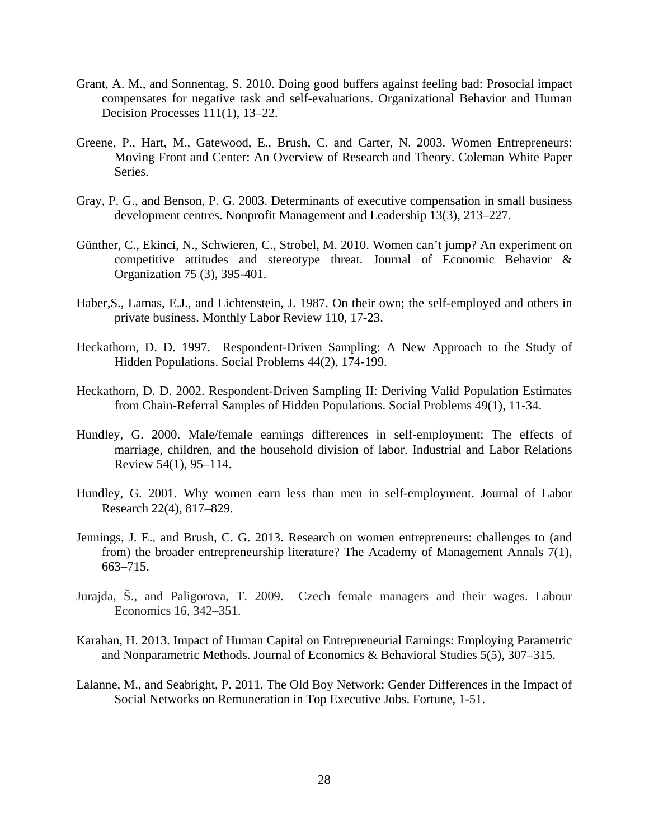- Grant, A. M., and Sonnentag, S. 2010. Doing good buffers against feeling bad: Prosocial impact compensates for negative task and self-evaluations. Organizational Behavior and Human Decision Processes 111(1), 13–22.
- Greene, P., Hart, M., Gatewood, E., Brush, C. and Carter, N. 2003. Women Entrepreneurs: Moving Front and Center: An Overview of Research and Theory. Coleman White Paper Series.
- Gray, P. G., and Benson, P. G. 2003. Determinants of executive compensation in small business development centres. Nonprofit Management and Leadership 13(3), 213–227.
- Günther, C., Ekinci, N., Schwieren, C., Strobel, M. 2010. Women can't jump? An experiment on competitive attitudes and stereotype threat. Journal of Economic Behavior  $\&$ Organization 75 (3), 395-401.
- Haber,S., Lamas, E.J., and Lichtenstein, J. 1987. On their own; the self-employed and others in private business. Monthly Labor Review 110, 17-23.
- Heckathorn, D. D. 1997. Respondent-Driven Sampling: A New Approach to the Study of Hidden Populations. Social Problems 44(2), 174-199.
- Heckathorn, D. D. 2002. Respondent-Driven Sampling II: Deriving Valid Population Estimates from Chain-Referral Samples of Hidden Populations. Social Problems 49(1), 11-34.
- Hundley, G. 2000. Male/female earnings differences in self-employment: The effects of marriage, children, and the household division of labor. Industrial and Labor Relations Review 54(1), 95–114.
- Hundley, G. 2001. Why women earn less than men in self-employment. Journal of Labor Research 22(4), 817–829.
- Jennings, J. E., and Brush, C. G. 2013. Research on women entrepreneurs: challenges to (and from) the broader entrepreneurship literature? The Academy of Management Annals 7(1), 663–715.
- Jurajda, Š., and Paligorova, T. 2009. Czech female managers and their wages. Labour Economics 16, 342–351.
- Karahan, H. 2013. Impact of Human Capital on Entrepreneurial Earnings: Employing Parametric and Nonparametric Methods. Journal of Economics & Behavioral Studies 5(5), 307–315.
- Lalanne, M., and Seabright, P. 2011. The Old Boy Network: Gender Differences in the Impact of Social Networks on Remuneration in Top Executive Jobs. Fortune, 1-51.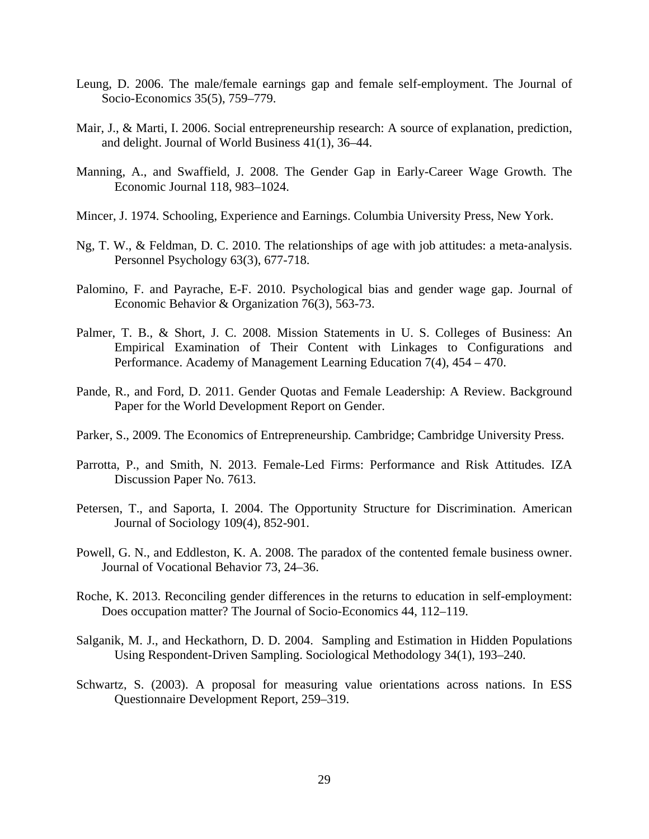- Leung, D. 2006. The male/female earnings gap and female self-employment. The Journal of Socio-Economic*s* 35(5), 759–779.
- Mair, J., & Marti, I. 2006. Social entrepreneurship research: A source of explanation, prediction, and delight. Journal of World Business 41(1), 36–44.
- Manning, A., and Swaffield, J. 2008. The Gender Gap in Early-Career Wage Growth. The Economic Journal 118, 983–1024.
- Mincer, J. 1974. Schooling, Experience and Earnings. Columbia University Press, New York.
- Ng, T. W., & Feldman, D. C. 2010. The relationships of age with job attitudes: a meta‐analysis. Personnel Psychology 63(3), 677-718.
- Palomino, F. and Payrache, E-F. 2010. Psychological bias and gender wage gap. Journal of Economic Behavior & Organization 76(3), 563-73.
- Palmer, T. B., & Short, J. C. 2008. Mission Statements in U. S. Colleges of Business: An Empirical Examination of Their Content with Linkages to Configurations and Performance. Academy of Management Learning Education 7(4), 454 – 470.
- Pande, R., and Ford, D. 2011. Gender Quotas and Female Leadership: A Review. Background Paper for the World Development Report on Gender.
- Parker, S., 2009. The Economics of Entrepreneurship*.* Cambridge; Cambridge University Press.
- Parrotta, P., and Smith, N. 2013. Female-Led Firms: Performance and Risk Attitudes*.* IZA Discussion Paper No. 7613.
- Petersen, T., and Saporta, I. 2004. The Opportunity Structure for Discrimination. American Journal of Sociology 109(4), 852-901.
- Powell, G. N., and Eddleston, K. A. 2008. The paradox of the contented female business owner. Journal of Vocational Behavior 73, 24–36.
- Roche, K. 2013. Reconciling gender differences in the returns to education in self-employment: Does occupation matter? The Journal of Socio-Economics 44, 112–119.
- Salganik, M. J., and Heckathorn, D. D. 2004. Sampling and Estimation in Hidden Populations Using Respondent-Driven Sampling. Sociological Methodology 34(1), 193–240.
- Schwartz, S. (2003). A proposal for measuring value orientations across nations. In ESS Questionnaire Development Report*,* 259–319.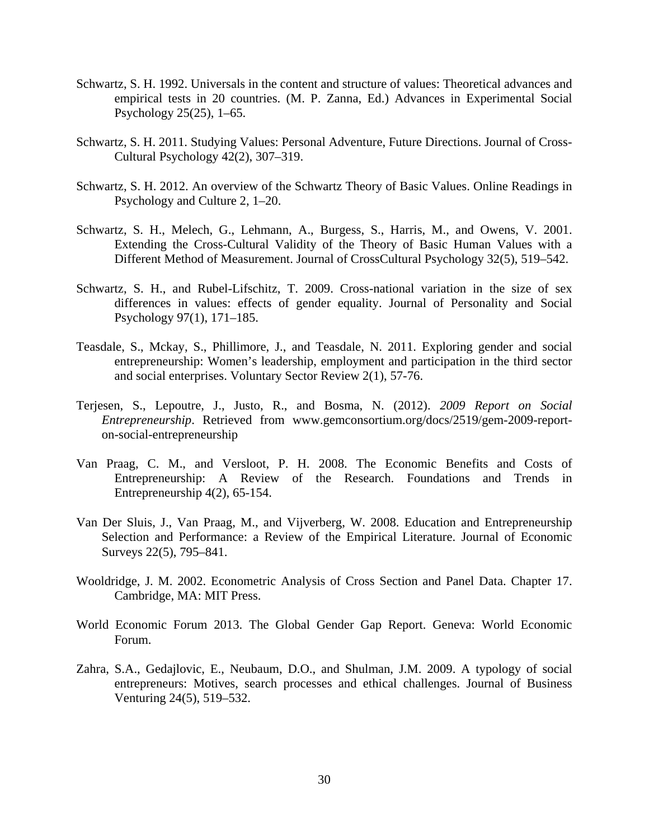- Schwartz, S. H. 1992. Universals in the content and structure of values: Theoretical advances and empirical tests in 20 countries. (M. P. Zanna, Ed.) Advances in Experimental Social Psychology 25(25), 1–65.
- Schwartz, S. H. 2011. Studying Values: Personal Adventure, Future Directions. Journal of Cross-Cultural Psychology 42(2), 307–319.
- Schwartz, S. H. 2012. An overview of the Schwartz Theory of Basic Values. Online Readings in Psychology and Culture 2, 1–20.
- Schwartz, S. H., Melech, G., Lehmann, A., Burgess, S., Harris, M., and Owens, V. 2001. Extending the Cross-Cultural Validity of the Theory of Basic Human Values with a Different Method of Measurement. Journal of CrossCultural Psychology 32(5), 519–542.
- Schwartz, S. H., and Rubel-Lifschitz, T. 2009. Cross-national variation in the size of sex differences in values: effects of gender equality. Journal of Personality and Social Psychology 97(1), 171–185.
- Teasdale, S., Mckay, S., Phillimore, J., and Teasdale, N. 2011. Exploring gender and social entrepreneurship: Women's leadership, employment and participation in the third sector and social enterprises. Voluntary Sector Review 2(1), 57-76.
- Terjesen, S., Lepoutre, J., Justo, R., and Bosma, N. (2012). *2009 Report on Social Entrepreneurship*. Retrieved from www.gemconsortium.org/docs/2519/gem-2009-reporton-social-entrepreneurship
- Van Praag, C. M., and Versloot, P. H. 2008. The Economic Benefits and Costs of Entrepreneurship: A Review of the Research. Foundations and Trends in Entrepreneurship 4(2), 65-154.
- Van Der Sluis, J., Van Praag, M., and Vijverberg, W. 2008. Education and Entrepreneurship Selection and Performance: a Review of the Empirical Literature. Journal of Economic Surveys 22(5), 795–841.
- Wooldridge, J. M. 2002. Econometric Analysis of Cross Section and Panel Data. Chapter 17. Cambridge, MA: MIT Press.
- World Economic Forum 2013. The Global Gender Gap Report. Geneva: World Economic Forum.
- Zahra, S.A., Gedajlovic, E., Neubaum, D.O., and Shulman, J.M. 2009. A typology of social entrepreneurs: Motives, search processes and ethical challenges. Journal of Business Venturing 24(5), 519–532.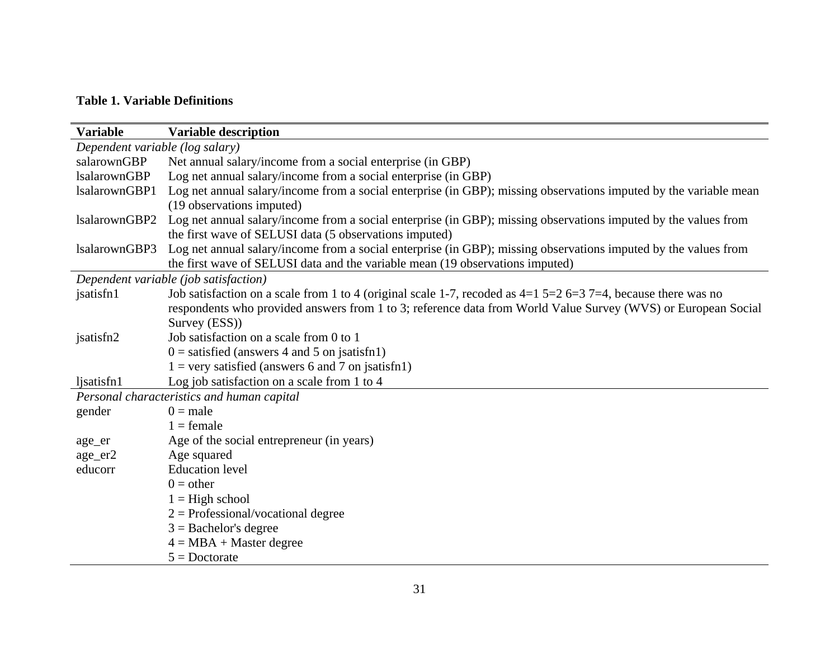### **Table 1. Variable Definitions**

| <b>Variable</b>                 | <b>Variable description</b>                                                                                       |
|---------------------------------|-------------------------------------------------------------------------------------------------------------------|
| Dependent variable (log salary) |                                                                                                                   |
| salarownGBP                     | Net annual salary/income from a social enterprise (in GBP)                                                        |
| <b>IsalarownGBP</b>             | Log net annual salary/income from a social enterprise (in GBP)                                                    |
| lsalarownGBP1                   | Log net annual salary/income from a social enterprise (in GBP); missing observations imputed by the variable mean |
|                                 | (19 observations imputed)                                                                                         |
| IsalarownGBP2                   | Log net annual salary/income from a social enterprise (in GBP); missing observations imputed by the values from   |
|                                 | the first wave of SELUSI data (5 observations imputed)                                                            |
| lsalarownGBP3                   | Log net annual salary/income from a social enterprise (in GBP); missing observations imputed by the values from   |
|                                 | the first wave of SELUSI data and the variable mean (19 observations imputed)                                     |
|                                 | Dependent variable (job satisfaction)                                                                             |
| jsatisfn1                       | Job satisfaction on a scale from 1 to 4 (original scale 1-7, recoded as $4=1$ 5=2 6=3 7=4, because there was no   |
|                                 | respondents who provided answers from 1 to 3; reference data from World Value Survey (WVS) or European Social     |
|                                 | Survey (ESS))                                                                                                     |
| jsatisfn2                       | Job satisfaction on a scale from 0 to 1                                                                           |
|                                 | $0 =$ satisfied (answers 4 and 5 on jsatisfn1)                                                                    |
|                                 | $1 =$ very satisfied (answers 6 and 7 on jsatisfn1)                                                               |
| ljsatisfn1                      | Log job satisfaction on a scale from 1 to 4                                                                       |
|                                 | Personal characteristics and human capital                                                                        |
| gender                          | $0 = male$                                                                                                        |
|                                 | $1 =$ female                                                                                                      |
| age_er                          | Age of the social entrepreneur (in years)                                                                         |
| age_er2                         | Age squared                                                                                                       |
| educorr                         | <b>Education</b> level                                                                                            |
|                                 | $0 =$ other                                                                                                       |
|                                 | $1 =$ High school                                                                                                 |
|                                 | $2 =$ Professional/vocational degree                                                                              |
|                                 | $3 =$ Bachelor's degree                                                                                           |
|                                 | $4 = MBA + Master degree$                                                                                         |
|                                 | $5 =$ Doctorate                                                                                                   |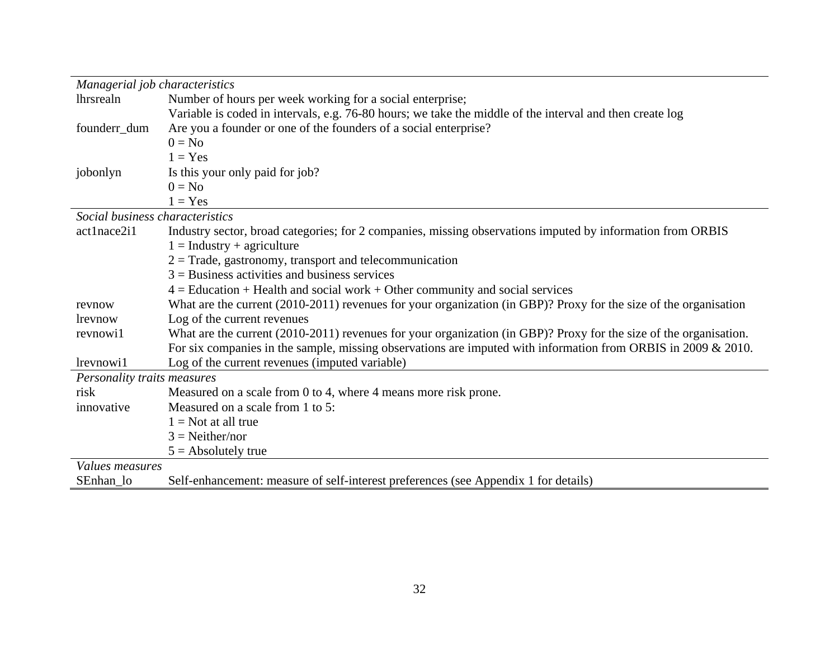| Managerial job characteristics  |                                                                                                                   |
|---------------------------------|-------------------------------------------------------------------------------------------------------------------|
| lhrsrealn                       | Number of hours per week working for a social enterprise;                                                         |
|                                 | Variable is coded in intervals, e.g. 76-80 hours; we take the middle of the interval and then create log          |
| founderr_dum                    | Are you a founder or one of the founders of a social enterprise?                                                  |
|                                 | $0 = No$                                                                                                          |
|                                 | $1 = Yes$                                                                                                         |
| jobonlyn                        | Is this your only paid for job?                                                                                   |
|                                 | $0 = No$                                                                                                          |
|                                 | $1 = Yes$                                                                                                         |
| Social business characteristics |                                                                                                                   |
| act1nace2i1                     | Industry sector, broad categories; for 2 companies, missing observations imputed by information from ORBIS        |
|                                 | $1 =$ Industry + agriculture                                                                                      |
|                                 | $2 =$ Trade, gastronomy, transport and telecommunication                                                          |
|                                 | $3$ = Business activities and business services                                                                   |
|                                 | $4 =$ Education + Health and social work + Other community and social services                                    |
| revnow                          | What are the current (2010-2011) revenues for your organization (in GBP)? Proxy for the size of the organisation  |
| lrevnow                         | Log of the current revenues                                                                                       |
| revnowi1                        | What are the current (2010-2011) revenues for your organization (in GBP)? Proxy for the size of the organisation. |
|                                 | For six companies in the sample, missing observations are imputed with information from ORBIS in 2009 $\&$ 2010.  |
| lrevnowi1                       | Log of the current revenues (imputed variable)                                                                    |
| Personality traits measures     |                                                                                                                   |
| risk                            | Measured on a scale from 0 to 4, where 4 means more risk prone.                                                   |
| innovative                      | Measured on a scale from 1 to 5:                                                                                  |
|                                 | $1 = Not$ at all true                                                                                             |
|                                 | $3 = Neither/nor$                                                                                                 |
|                                 | $5 =$ Absolutely true                                                                                             |
| Values measures                 |                                                                                                                   |
| SEnhan lo                       | Self-enhancement: measure of self-interest preferences (see Appendix 1 for details)                               |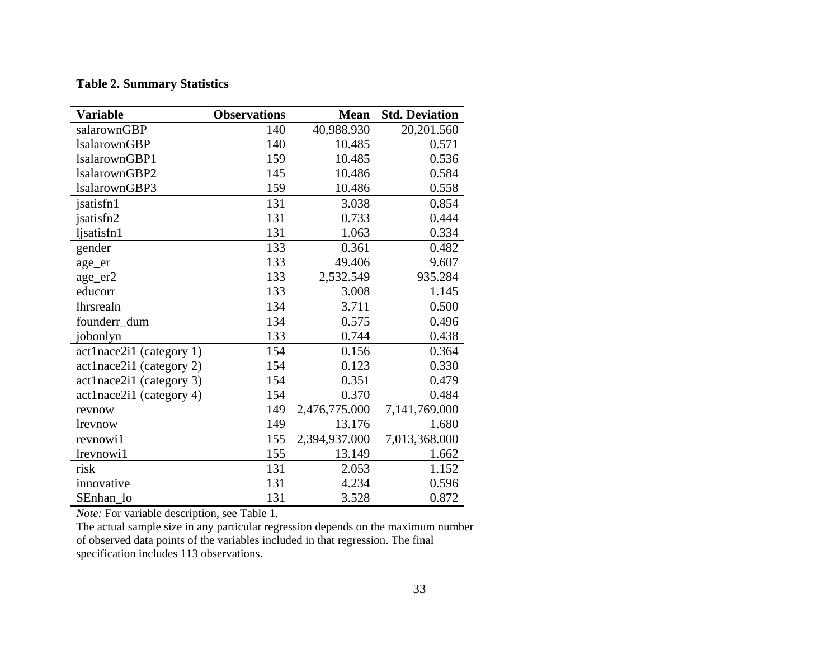#### **Table 2. Summary Statistics**

| <b>Variable</b>            | <b>Observations</b> | <b>Mean</b>   | <b>Std. Deviation</b> |
|----------------------------|---------------------|---------------|-----------------------|
| salarownGBP                | 140                 | 40,988.930    | 20,201.560            |
| <b>lsalarownGBP</b>        | 140                 | 10.485        | 0.571                 |
| lsalarownGBP1              | 159                 | 10.485        | 0.536                 |
| lsalarownGBP2              | 145                 | 10.486        | 0.584                 |
| lsalarownGBP3              | 159                 | 10.486        | 0.558                 |
| jsatisfn1                  | 131                 | 3.038         | 0.854                 |
| jsatisfn2                  | 131                 | 0.733         | 0.444                 |
| ljsatisfn1                 | 131                 | 1.063         | 0.334                 |
| gender                     | 133                 | 0.361         | 0.482                 |
| age_er                     | 133                 | 49.406        | 9.607                 |
| age_er2                    | 133                 | 2,532.549     | 935.284               |
| educorr                    | 133                 | 3.008         | 1.145                 |
| lhrsrealn                  | 134                 | 3.711         | 0.500                 |
| founderr_dum               | 134                 | 0.575         | 0.496                 |
| jobonlyn                   | 133                 | 0.744         | 0.438                 |
| $actInace2i1$ (category 1) | 154                 | 0.156         | 0.364                 |
| act1nace2i1 (category 2)   | 154                 | 0.123         | 0.330                 |
| act1nace2i1 (category 3)   | 154                 | 0.351         | 0.479                 |
| act1nace2i1 (category 4)   | 154                 | 0.370         | 0.484                 |
| revnow                     | 149                 | 2,476,775.000 | 7,141,769.000         |
| lrevnow                    | 149                 | 13.176        | 1.680                 |
| revnowi1                   | 155                 | 2,394,937.000 | 7,013,368.000         |
| lrevnowi1                  | 155                 | 13.149        | 1.662                 |
| risk                       | 131                 | 2.053         | 1.152                 |
| innovative                 | 131                 | 4.234         | 0.596                 |
| SEnhan lo                  | 131                 | 3.528         | 0.872                 |

*Note:* For variable description, see Table 1.

The actual sample size in any particular regression depends on the maximum number of observed data points of the variables included in that regression. The final specification includes 113 observations.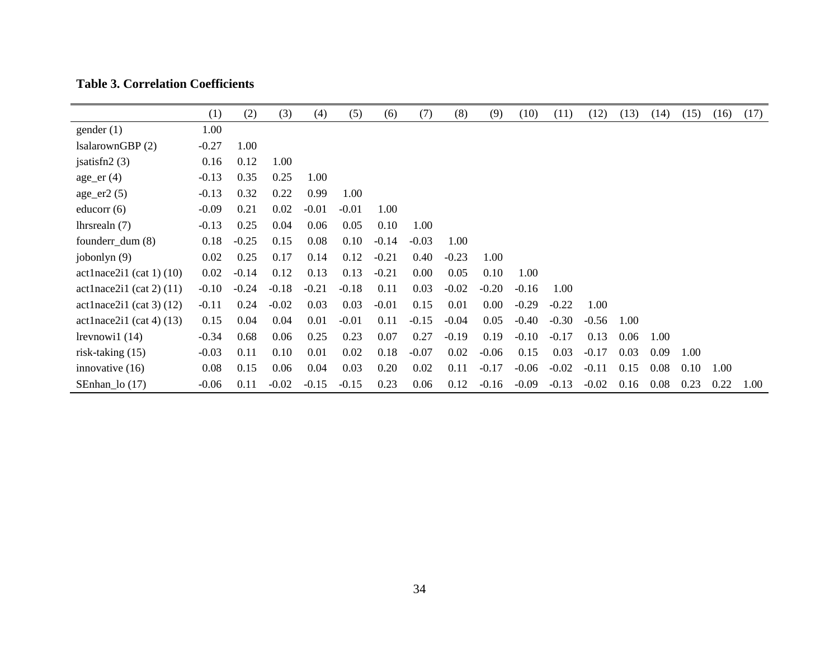|                            | (1)     | (2)     | (3)     | (4)     | (5)     | (6)     | (7)     | (8)     | (9)     | (10)    | (11)    | (12)    | (13) | (14) | (15) | (16) | (17) |
|----------------------------|---------|---------|---------|---------|---------|---------|---------|---------|---------|---------|---------|---------|------|------|------|------|------|
| gender(1)                  | 1.00    |         |         |         |         |         |         |         |         |         |         |         |      |      |      |      |      |
| IsalarownGBP (2)           | $-0.27$ | 1.00    |         |         |         |         |         |         |         |         |         |         |      |      |      |      |      |
| jsatisfn $2(3)$            | 0.16    | 0.12    | 1.00    |         |         |         |         |         |         |         |         |         |      |      |      |      |      |
| $age\_er(4)$               | $-0.13$ | 0.35    | 0.25    | 1.00    |         |         |         |         |         |         |         |         |      |      |      |      |      |
| $age\_er2(5)$              | $-0.13$ | 0.32    | 0.22    | 0.99    | 1.00    |         |         |         |         |         |         |         |      |      |      |      |      |
| educorr $(6)$              | $-0.09$ | 0.21    | 0.02    | $-0.01$ | $-0.01$ | 1.00    |         |         |         |         |         |         |      |      |      |      |      |
| lhrsrealn $(7)$            | $-0.13$ | 0.25    | 0.04    | 0.06    | 0.05    | 0.10    | 1.00    |         |         |         |         |         |      |      |      |      |      |
| founderr_dum $(8)$         | 0.18    | $-0.25$ | 0.15    | 0.08    | 0.10    | $-0.14$ | $-0.03$ | 1.00    |         |         |         |         |      |      |      |      |      |
| jobonlyn $(9)$             | 0.02    | 0.25    | 0.17    | 0.14    | 0.12    | $-0.21$ | 0.40    | $-0.23$ | 1.00    |         |         |         |      |      |      |      |      |
| $actInace2i1$ (cat 1) (10) | 0.02    | $-0.14$ | 0.12    | 0.13    | 0.13    | $-0.21$ | 0.00    | 0.05    | 0.10    | 1.00    |         |         |      |      |      |      |      |
| $actInace2i1$ (cat 2) (11) | $-0.10$ | $-0.24$ | $-0.18$ | $-0.21$ | $-0.18$ | 0.11    | 0.03    | $-0.02$ | $-0.20$ | $-0.16$ | 1.00    |         |      |      |      |      |      |
| $actInace2i1$ (cat 3) (12) | $-0.11$ | 0.24    | $-0.02$ | 0.03    | 0.03    | $-0.01$ | 0.15    | 0.01    | 0.00    | $-0.29$ | $-0.22$ | 1.00    |      |      |      |      |      |
| $actInace2i1$ (cat 4) (13) | 0.15    | 0.04    | 0.04    | 0.01    | $-0.01$ | 0.11    | $-0.15$ | $-0.04$ | 0.05    | $-0.40$ | $-0.30$ | $-0.56$ | 1.00 |      |      |      |      |
| $l$ revnowi $1(14)$        | $-0.34$ | 0.68    | 0.06    | 0.25    | 0.23    | 0.07    | 0.27    | $-0.19$ | 0.19    | $-0.10$ | $-0.17$ | 0.13    | 0.06 | 1.00 |      |      |      |
| risk-taking $(15)$         | $-0.03$ | 0.11    | 0.10    | 0.01    | 0.02    | 0.18    | $-0.07$ | 0.02    | $-0.06$ | 0.15    | 0.03    | $-0.17$ | 0.03 | 0.09 | 1.00 |      |      |
| innovative $(16)$          | 0.08    | 0.15    | 0.06    | 0.04    | 0.03    | 0.20    | 0.02    | 0.11    | $-0.17$ | $-0.06$ | $-0.02$ | $-0.11$ | 0.15 | 0.08 | 0.10 | 1.00 |      |
| SEnhan_lo (17)             | $-0.06$ | 0.11    | $-0.02$ | $-0.15$ | $-0.15$ | 0.23    | 0.06    | 0.12    | $-0.16$ | $-0.09$ | $-0.13$ | $-0.02$ | 0.16 | 0.08 | 0.23 | 0.22 | 1.00 |

### **Table 3. Correlation Coefficients**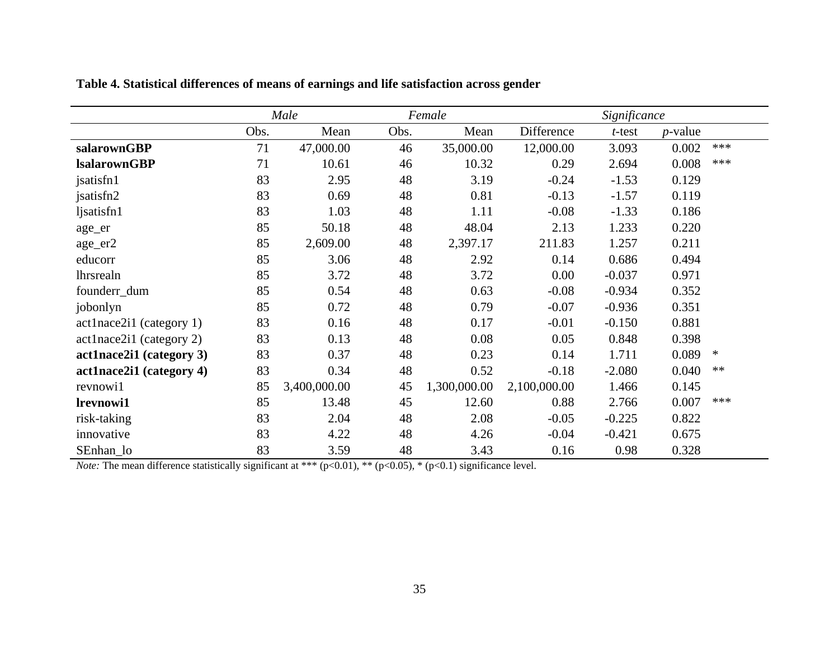|                          |      | Male         |      | Female       |              | Significance |            |        |  |
|--------------------------|------|--------------|------|--------------|--------------|--------------|------------|--------|--|
|                          | Obs. | Mean         | Obs. | Mean         | Difference   | $t$ -test    | $p$ -value |        |  |
| salarownGBP              | 71   | 47,000.00    | 46   | 35,000.00    | 12,000.00    | 3.093        | 0.002      | ***    |  |
| <b>IsalarownGBP</b>      | 71   | 10.61        | 46   | 10.32        | 0.29         | 2.694        | 0.008      | ***    |  |
| jsatisfn1                | 83   | 2.95         | 48   | 3.19         | $-0.24$      | $-1.53$      | 0.129      |        |  |
| jsatisfn2                | 83   | 0.69         | 48   | 0.81         | $-0.13$      | $-1.57$      | 0.119      |        |  |
| ljsatisfn1               | 83   | 1.03         | 48   | 1.11         | $-0.08$      | $-1.33$      | 0.186      |        |  |
| age_er                   | 85   | 50.18        | 48   | 48.04        | 2.13         | 1.233        | 0.220      |        |  |
| age_er2                  | 85   | 2,609.00     | 48   | 2,397.17     | 211.83       | 1.257        | 0.211      |        |  |
| educorr                  | 85   | 3.06         | 48   | 2.92         | 0.14         | 0.686        | 0.494      |        |  |
| <b>lhrsrealn</b>         | 85   | 3.72         | 48   | 3.72         | 0.00         | $-0.037$     | 0.971      |        |  |
| founderr_dum             | 85   | 0.54         | 48   | 0.63         | $-0.08$      | $-0.934$     | 0.352      |        |  |
| jobonlyn                 | 85   | 0.72         | 48   | 0.79         | $-0.07$      | $-0.936$     | 0.351      |        |  |
| act1nace2i1 (category 1) | 83   | 0.16         | 48   | 0.17         | $-0.01$      | $-0.150$     | 0.881      |        |  |
| act1nace2i1 (category 2) | 83   | 0.13         | 48   | 0.08         | 0.05         | 0.848        | 0.398      |        |  |
| act1nace2i1 (category 3) | 83   | 0.37         | 48   | 0.23         | 0.14         | 1.711        | 0.089      | $\ast$ |  |
| act1nace2i1 (category 4) | 83   | 0.34         | 48   | 0.52         | $-0.18$      | $-2.080$     | 0.040      | $**$   |  |
| revnowi1                 | 85   | 3,400,000.00 | 45   | 1,300,000.00 | 2,100,000.00 | 1.466        | 0.145      |        |  |
| lrevnowi1                | 85   | 13.48        | 45   | 12.60        | 0.88         | 2.766        | 0.007      | ***    |  |
| risk-taking              | 83   | 2.04         | 48   | 2.08         | $-0.05$      | $-0.225$     | 0.822      |        |  |
| innovative               | 83   | 4.22         | 48   | 4.26         | $-0.04$      | $-0.421$     | 0.675      |        |  |
| SEnhan_lo                | 83   | 3.59         | 48   | 3.43         | 0.16         | 0.98         | 0.328      |        |  |

**Table 4. Statistical differences of means of earnings and life satisfaction across gender**

*Note:* The mean difference statistically significant at \*\*\*  $(p<0.01)$ , \*\*  $(p<0.05)$ , \*  $(p<0.1)$  significance level.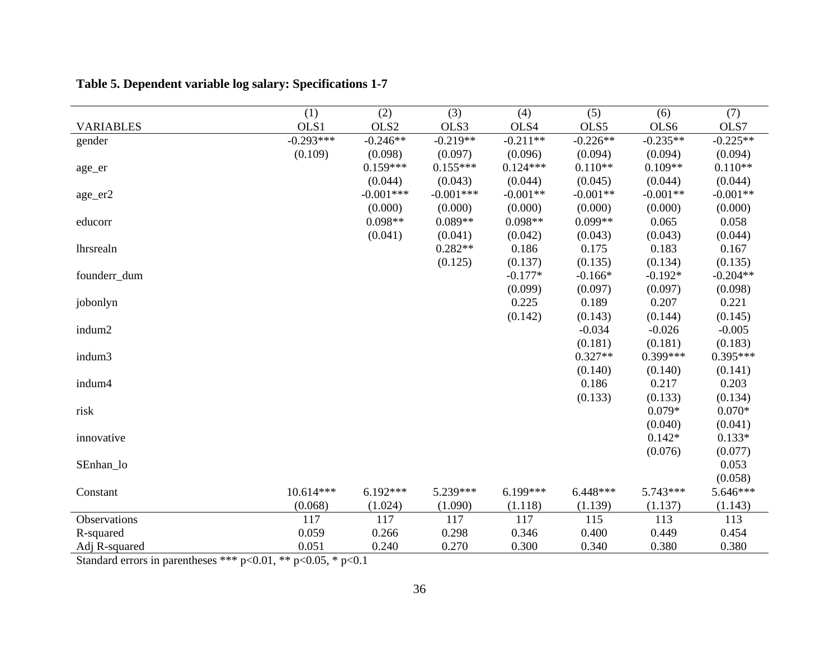|                  | (1)         | (2)         | (3)         | (4)        | (5)        | (6)        | (7)        |
|------------------|-------------|-------------|-------------|------------|------------|------------|------------|
| <b>VARIABLES</b> | OLS1        | OLS2        | OLS3        | OLS4       | OLS5       | OLS6       | OLS7       |
| gender           | $-0.293***$ | $-0.246**$  | $-0.219**$  | $-0.211**$ | $-0.226**$ | $-0.235**$ | $-0.225**$ |
|                  | (0.109)     | (0.098)     | (0.097)     | (0.096)    | (0.094)    | (0.094)    | (0.094)    |
| age_er           |             | $0.159***$  | $0.155***$  | $0.124***$ | $0.110**$  | $0.109**$  | $0.110**$  |
|                  |             | (0.044)     | (0.043)     | (0.044)    | (0.045)    | (0.044)    | (0.044)    |
| age_er2          |             | $-0.001***$ | $-0.001***$ | $-0.001**$ | $-0.001**$ | $-0.001**$ | $-0.001**$ |
|                  |             | (0.000)     | (0.000)     | (0.000)    | (0.000)    | (0.000)    | (0.000)    |
| educorr          |             | $0.098**$   | $0.089**$   | $0.098**$  | $0.099**$  | 0.065      | 0.058      |
|                  |             | (0.041)     | (0.041)     | (0.042)    | (0.043)    | (0.043)    | (0.044)    |
| lhrsrealn        |             |             | $0.282**$   | 0.186      | 0.175      | 0.183      | 0.167      |
|                  |             |             | (0.125)     | (0.137)    | (0.135)    | (0.134)    | (0.135)    |
| founderr_dum     |             |             |             | $-0.177*$  | $-0.166*$  | $-0.192*$  | $-0.204**$ |
|                  |             |             |             | (0.099)    | (0.097)    | (0.097)    | (0.098)    |
| jobonlyn         |             |             |             | 0.225      | 0.189      | 0.207      | 0.221      |
|                  |             |             |             | (0.142)    | (0.143)    | (0.144)    | (0.145)    |
| indum2           |             |             |             |            | $-0.034$   | $-0.026$   | $-0.005$   |
|                  |             |             |             |            | (0.181)    | (0.181)    | (0.183)    |
| indum3           |             |             |             |            | $0.327**$  | $0.399***$ | $0.395***$ |
|                  |             |             |             |            | (0.140)    | (0.140)    | (0.141)    |
| indum4           |             |             |             |            | 0.186      | 0.217      | 0.203      |
|                  |             |             |             |            | (0.133)    | (0.133)    | (0.134)    |
| risk             |             |             |             |            |            | $0.079*$   | $0.070*$   |
|                  |             |             |             |            |            | (0.040)    | (0.041)    |
| innovative       |             |             |             |            |            | $0.142*$   | $0.133*$   |
|                  |             |             |             |            |            | (0.076)    | (0.077)    |
| SEnhan_lo        |             |             |             |            |            |            | 0.053      |
|                  |             |             |             |            |            |            | (0.058)    |
| Constant         | $10.614***$ | $6.192***$  | 5.239***    | $6.199***$ | $6.448***$ | $5.743***$ | 5.646***   |
|                  | (0.068)     | (1.024)     | (1.090)     | (1.118)    | (1.139)    | (1.137)    | (1.143)    |
| Observations     | 117         | 117         | 117         | 117        | 115        | 113        | 113        |
| R-squared        | 0.059       | 0.266       | 0.298       | 0.346      | 0.400      | 0.449      | 0.454      |
| Adj R-squared    | 0.051       | 0.240       | 0.270       | 0.300      | 0.340      | 0.380      | 0.380      |

## **Table 5. Dependent variable log salary: Specifications 1-7**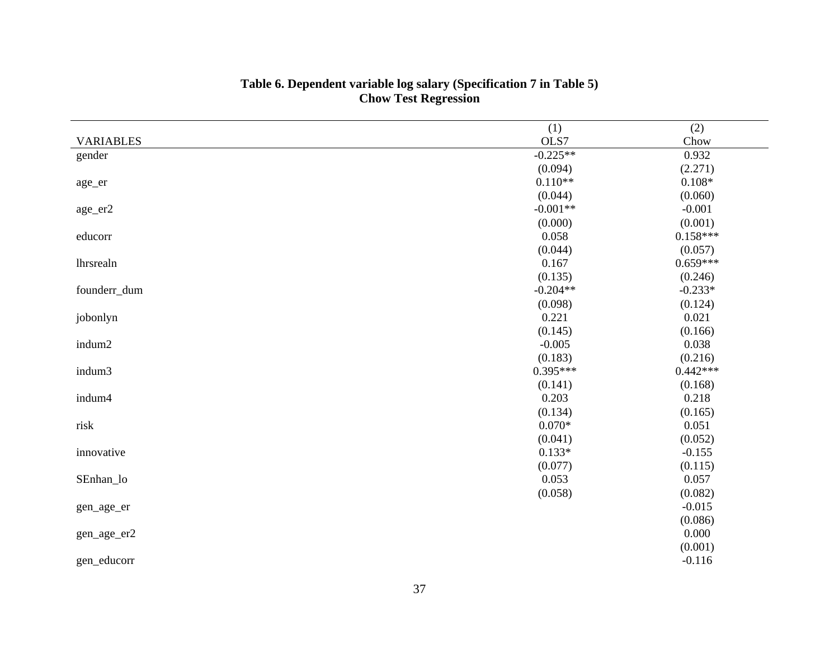|                  | (1)               | (2)        |
|------------------|-------------------|------------|
| <b>VARIABLES</b> | OLS7              | Chow       |
| gender           | $-0.225**$        | 0.932      |
|                  | (0.094)           | (2.271)    |
| age_er           | $0.110**$         | $0.108*$   |
|                  | (0.044)           | (0.060)    |
| age_er2          | $-0.001**$        | $-0.001$   |
|                  | (0.000)           | (0.001)    |
| educorr          | 0.058             | $0.158***$ |
|                  | (0.044)           | (0.057)    |
| lhrsrealn        | 0.167             | $0.659***$ |
|                  | (0.135)           | (0.246)    |
| founderr_dum     | $-0.204**$        | $-0.233*$  |
|                  | (0.098)           | (0.124)    |
| jobonlyn         | 0.221             | 0.021      |
|                  | (0.145)           | (0.166)    |
| indum2           | $-0.005$          | 0.038      |
|                  | (0.183)           | (0.216)    |
| indum3           | $0.395***$        | $0.442***$ |
|                  | (0.141)           | (0.168)    |
| indum4           | 0.203             | 0.218      |
|                  | (0.134)           | (0.165)    |
| risk             | $0.070\mathrm{*}$ | 0.051      |
|                  | (0.041)           | (0.052)    |
| innovative       | $0.133*$          | $-0.155$   |
|                  | (0.077)           | (0.115)    |
| SEnhan_lo        | 0.053             | 0.057      |
|                  | (0.058)           | (0.082)    |
| gen_age_er       |                   | $-0.015$   |
|                  |                   | (0.086)    |
| gen_age_er2      |                   | 0.000      |
|                  |                   | (0.001)    |
| gen_educorr      |                   | $-0.116$   |

#### **Table 6. Dependent variable log salary (Specification 7 in Table 5) Chow Test Regression**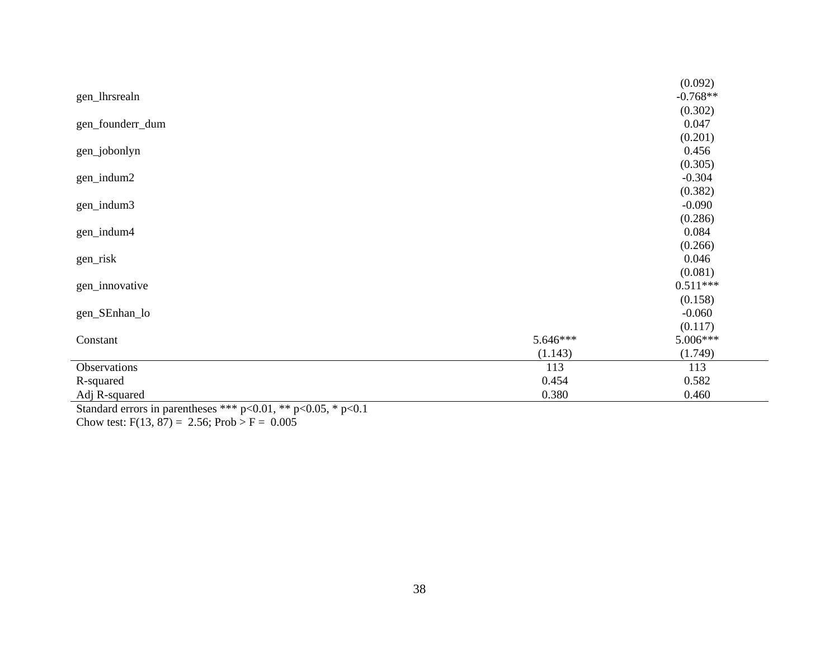|                  |          | (0.092)    |
|------------------|----------|------------|
| gen_lhrsrealn    |          | $-0.768**$ |
|                  |          | (0.302)    |
| gen_founderr_dum |          | 0.047      |
|                  |          | (0.201)    |
| gen_jobonlyn     |          | 0.456      |
|                  |          | (0.305)    |
| gen_indum2       |          | $-0.304$   |
|                  |          | (0.382)    |
| gen_indum3       |          | $-0.090$   |
|                  |          | (0.286)    |
| gen_indum4       |          | 0.084      |
|                  |          | (0.266)    |
| gen_risk         |          | 0.046      |
|                  |          | (0.081)    |
| gen_innovative   |          | $0.511***$ |
|                  |          | (0.158)    |
| gen_SEnhan_lo    |          | $-0.060$   |
|                  |          | (0.117)    |
| Constant         | 5.646*** | 5.006***   |
|                  | (1.143)  | (1.749)    |
| Observations     | 113      | 113        |
| R-squared        | 0.454    | 0.582      |
| Adj R-squared    | 0.380    | 0.460      |

Standard errors in parentheses \*\*\*  $p<0.01$ , \*\*  $p<0.05$ , \*  $p<0.1$ Chow test:  $F(13, 87) = 2.56$ ; Prob >  $F = 0.005$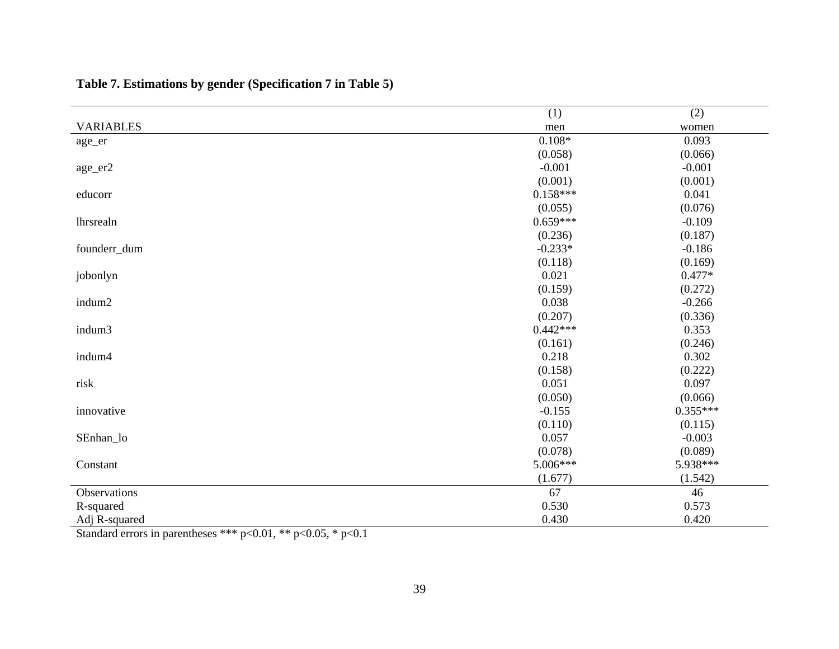|                  | (1)        | (2)        |
|------------------|------------|------------|
| <b>VARIABLES</b> | men        | women      |
| age_er           | $0.108*$   | 0.093      |
|                  | (0.058)    | (0.066)    |
| age_er2          | $-0.001$   | $-0.001$   |
|                  | (0.001)    | (0.001)    |
| educorr          | $0.158***$ | 0.041      |
|                  | (0.055)    | (0.076)    |
| lhrsrealn        | $0.659***$ | $-0.109$   |
|                  | (0.236)    | (0.187)    |
| founderr_dum     | $-0.233*$  | $-0.186$   |
|                  | (0.118)    | (0.169)    |
| jobonlyn         | 0.021      | $0.477*$   |
|                  | (0.159)    | (0.272)    |
| indum2           | 0.038      | $-0.266$   |
|                  | (0.207)    | (0.336)    |
| indum3           | $0.442***$ | 0.353      |
|                  | (0.161)    | (0.246)    |
| indum4           | 0.218      | 0.302      |
|                  | (0.158)    | (0.222)    |
| risk             | 0.051      | 0.097      |
|                  | (0.050)    | (0.066)    |
| innovative       | $-0.155$   | $0.355***$ |
|                  | (0.110)    | (0.115)    |
| SEnhan_lo        | 0.057      | $-0.003$   |
|                  | (0.078)    | (0.089)    |
| Constant         | 5.006***   | 5.938***   |
|                  | (1.677)    | (1.542)    |
| Observations     | 67         | 46         |
| R-squared        | 0.530      | 0.573      |
| Adj R-squared    | 0.430      | 0.420      |

**Table 7. Estimations by gender (Specification 7 in Table 5)**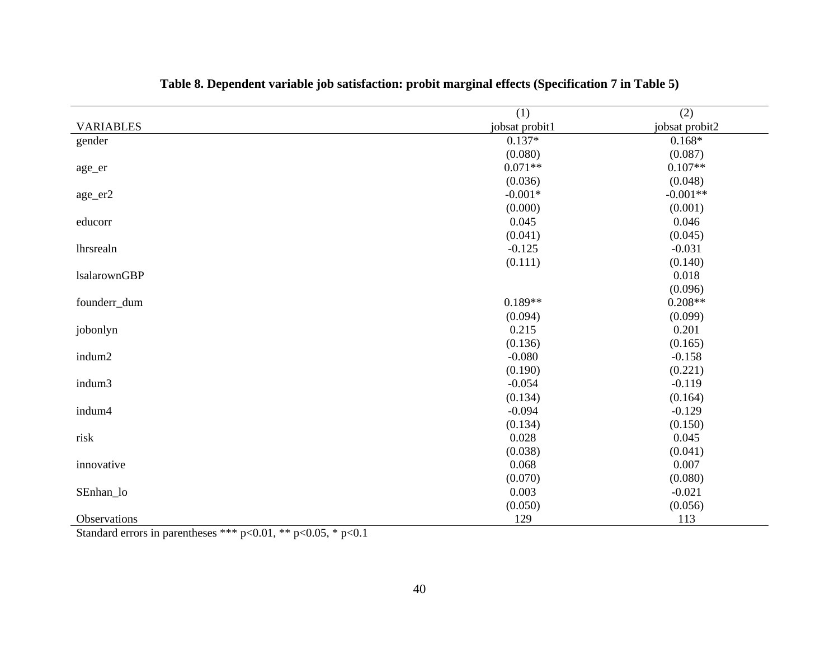|                     | (1)            | (2)            |
|---------------------|----------------|----------------|
| <b>VARIABLES</b>    | jobsat probit1 | jobsat probit2 |
| gender              | $0.137*$       | $0.168*$       |
|                     | (0.080)        | (0.087)        |
| age_er              | $0.071**$      | $0.107**$      |
|                     | (0.036)        | (0.048)        |
| age_er2             | $-0.001*$      | $-0.001**$     |
|                     | (0.000)        | (0.001)        |
| educorr             | 0.045          | 0.046          |
|                     | (0.041)        | (0.045)        |
| lhrsrealn           | $-0.125$       | $-0.031$       |
|                     | (0.111)        | (0.140)        |
| <b>lsalarownGBP</b> |                | 0.018          |
|                     |                | (0.096)        |
| founderr_dum        | $0.189**$      | $0.208**$      |
|                     | (0.094)        | (0.099)        |
| jobonlyn            | 0.215          | 0.201          |
|                     | (0.136)        | (0.165)        |
| indum2              | $-0.080$       | $-0.158$       |
|                     | (0.190)        | (0.221)        |
| indum3              | $-0.054$       | $-0.119$       |
|                     | (0.134)        | (0.164)        |
| indum4              | $-0.094$       | $-0.129$       |
|                     | (0.134)        | (0.150)        |
| risk                | 0.028          | 0.045          |
|                     | (0.038)        | (0.041)        |
| innovative          | 0.068          | 0.007          |
|                     | (0.070)        | (0.080)        |
| SEnhan_lo           | 0.003          | $-0.021$       |
|                     | (0.050)        | (0.056)        |
| Observations        | 129            | 113            |

## **Table 8. Dependent variable job satisfaction: probit marginal effects (Specification 7 in Table 5)**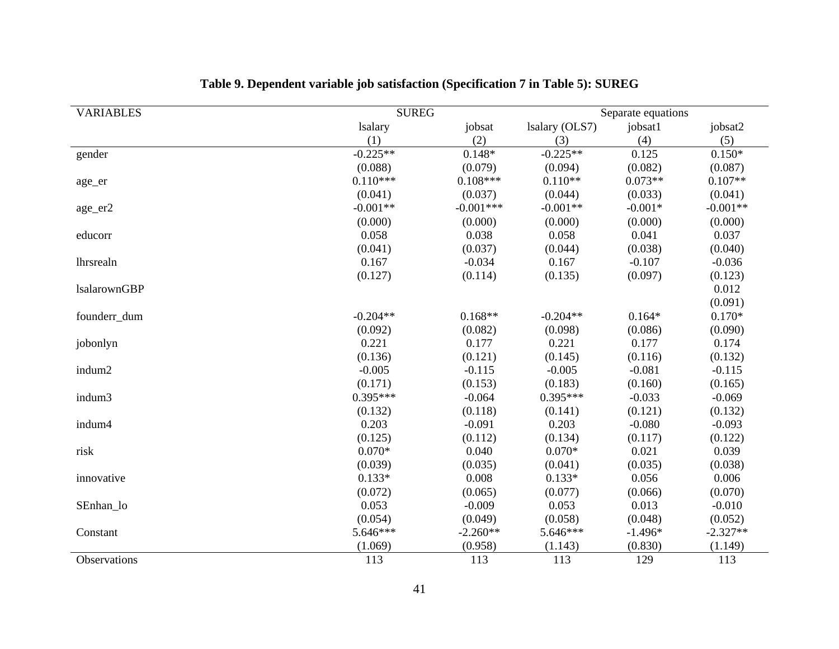| <b>VARIABLES</b>    | <b>SUREG</b>   |             |                | Separate equations |            |
|---------------------|----------------|-------------|----------------|--------------------|------------|
|                     | <b>lsalary</b> | jobsat      | Isalary (OLS7) | jobsat1            | jobsat2    |
|                     | (1)            | (2)         | (3)            | (4)                | (5)        |
| gender              | $-0.225**$     | $0.148*$    | $-0.225**$     | 0.125              | $0.150*$   |
|                     | (0.088)        | (0.079)     | (0.094)        | (0.082)            | (0.087)    |
| age_er              | $0.110***$     | $0.108***$  | $0.110**$      | $0.073**$          | $0.107**$  |
|                     | (0.041)        | (0.037)     | (0.044)        | (0.033)            | (0.041)    |
| age_er2             | $-0.001**$     | $-0.001***$ | $-0.001**$     | $-0.001*$          | $-0.001**$ |
|                     | (0.000)        | (0.000)     | (0.000)        | (0.000)            | (0.000)    |
| educorr             | 0.058          | 0.038       | 0.058          | 0.041              | 0.037      |
|                     | (0.041)        | (0.037)     | (0.044)        | (0.038)            | (0.040)    |
| lhrsrealn           | 0.167          | $-0.034$    | 0.167          | $-0.107$           | $-0.036$   |
|                     | (0.127)        | (0.114)     | (0.135)        | (0.097)            | (0.123)    |
| <b>lsalarownGBP</b> |                |             |                |                    | 0.012      |
|                     |                |             |                |                    | (0.091)    |
| founderr_dum        | $-0.204**$     | $0.168**$   | $-0.204**$     | $0.164*$           | $0.170*$   |
|                     | (0.092)        | (0.082)     | (0.098)        | (0.086)            | (0.090)    |
| jobonlyn            | 0.221          | 0.177       | 0.221          | 0.177              | 0.174      |
|                     | (0.136)        | (0.121)     | (0.145)        | (0.116)            | (0.132)    |
| indum2              | $-0.005$       | $-0.115$    | $-0.005$       | $-0.081$           | $-0.115$   |
|                     | (0.171)        | (0.153)     | (0.183)        | (0.160)            | (0.165)    |
| indum3              | $0.395***$     | $-0.064$    | $0.395***$     | $-0.033$           | $-0.069$   |
|                     | (0.132)        | (0.118)     | (0.141)        | (0.121)            | (0.132)    |
| indum4              | 0.203          | $-0.091$    | 0.203          | $-0.080$           | $-0.093$   |
|                     | (0.125)        | (0.112)     | (0.134)        | (0.117)            | (0.122)    |
| risk                | $0.070*$       | 0.040       | $0.070*$       | 0.021              | 0.039      |
|                     | (0.039)        | (0.035)     | (0.041)        | (0.035)            | (0.038)    |
| innovative          | $0.133*$       | 0.008       | $0.133*$       | 0.056              | 0.006      |
|                     | (0.072)        | (0.065)     | (0.077)        | (0.066)            | (0.070)    |
| SEnhan_lo           | 0.053          | $-0.009$    | 0.053          | 0.013              | $-0.010$   |
|                     | (0.054)        | (0.049)     | (0.058)        | (0.048)            | (0.052)    |
| Constant            | 5.646***       | $-2.260**$  | 5.646***       | $-1.496*$          | $-2.327**$ |
|                     | (1.069)        | (0.958)     | (1.143)        | (0.830)            | (1.149)    |
| Observations        | 113            | 113         | 113            | 129                | 113        |

## **Table 9. Dependent variable job satisfaction (Specification 7 in Table 5): SUREG**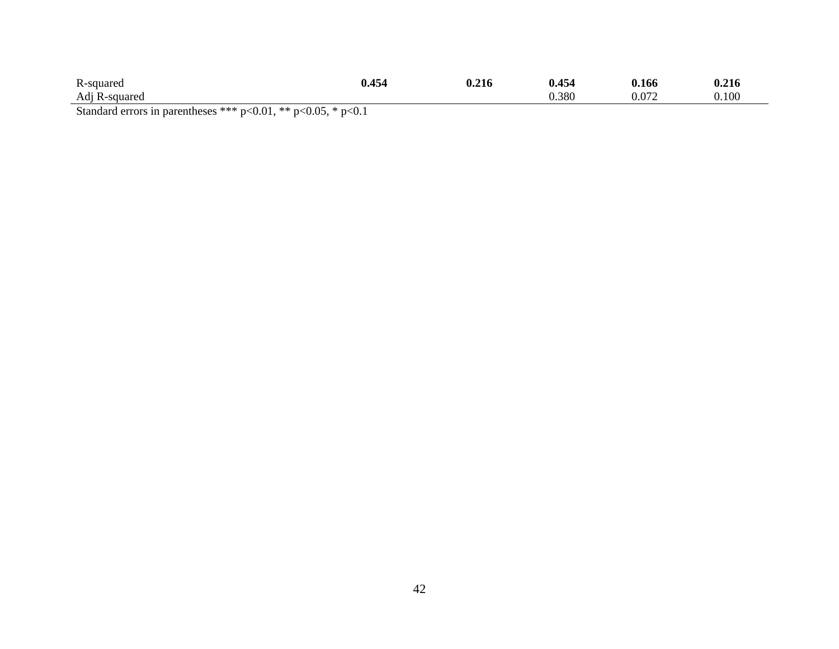| R-squared            | 0.454 | .216<br>v.z | 0.454 | 0.166 | ገ ኅ1.<br>0.216 |  |  |
|----------------------|-------|-------------|-------|-------|----------------|--|--|
| Adj R-squared        |       |             | 0.380 |       | 0.100          |  |  |
| $0.01 + 0.07 + 0.01$ |       |             |       |       |                |  |  |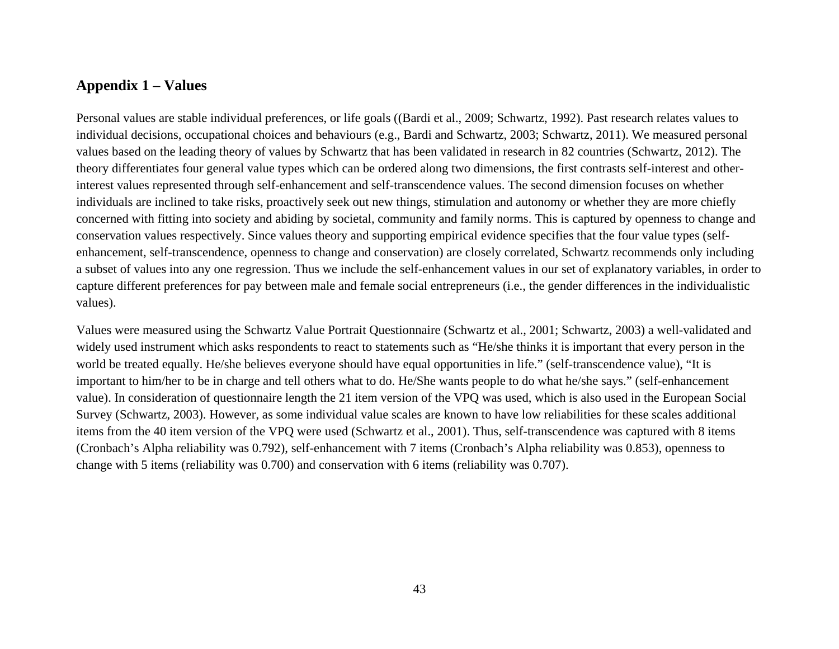#### **Appendix 1 – Values**

Personal values are stable individual preferences, or life goals ((Bardi et al., 2009; Schwartz, 1992). Past research relates values to individual decisions, occupational choices and behaviours (e.g., Bardi and Schwartz, 2003; Schwartz, 2011). We measured personal values based on the leading theory of values by Schwartz that has been validated in research in 82 countries (Schwartz, 2012). The theory differentiates four general value types which can be ordered along two dimensions, the first contrasts self-interest and otherinterest values represented through self-enhancement and self-transcendence values. The second dimension focuses on whether individuals are inclined to take risks, proactively seek out new things, stimulation and autonomy or whether they are more chiefly concerned with fitting into society and abiding by societal, community and family norms. This is captured by openness to change and conservation values respectively. Since values theory and supporting empirical evidence specifies that the four value types (selfenhancement, self-transcendence, openness to change and conservation) are closely correlated, Schwartz recommends only including a subset of values into any one regression. Thus we include the self-enhancement values in our set of explanatory variables, in order to capture different preferences for pay between male and female social entrepreneurs (i.e., the gender differences in the individualistic values).

Values were measured using the Schwartz Value Portrait Questionnaire (Schwartz et al., 2001; Schwartz, 2003) a well-validated and widely used instrument which asks respondents to react to statements such as "He/she thinks it is important that every person in the world be treated equally. He/she believes everyone should have equal opportunities in life." (self-transcendence value), "It is important to him/her to be in charge and tell others what to do. He/She wants people to do what he/she says." (self-enhancement value). In consideration of questionnaire length the 21 item version of the VPQ was used, which is also used in the European Social Survey (Schwartz, 2003). However, as some individual value scales are known to have low reliabilities for these scales additional items from the 40 item version of the VPQ were used (Schwartz et al., 2001). Thus, self-transcendence was captured with 8 items (Cronbach's Alpha reliability was 0.792), self-enhancement with 7 items (Cronbach's Alpha reliability was 0.853), openness to change with 5 items (reliability was 0.700) and conservation with 6 items (reliability was 0.707).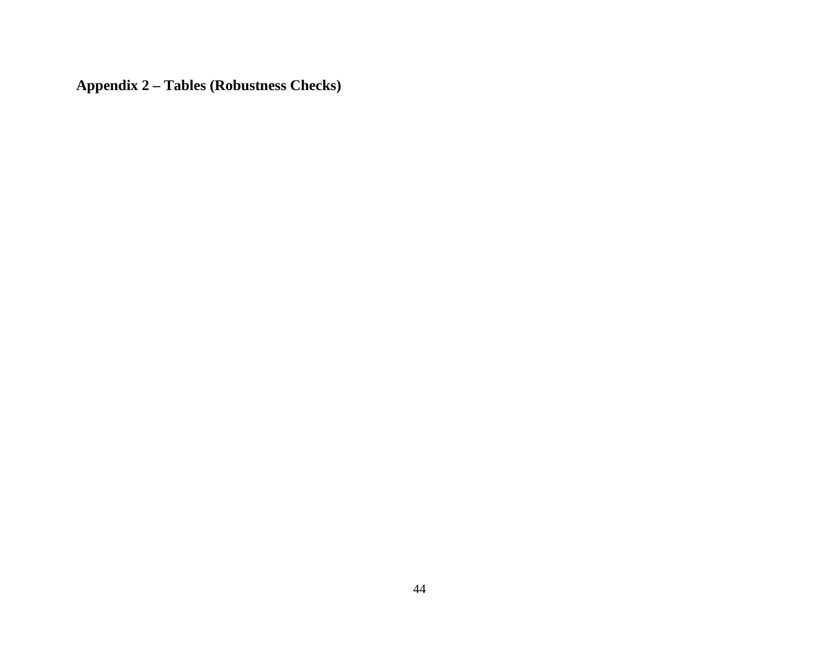**Appendix 2 – Tables (Robustness Checks)**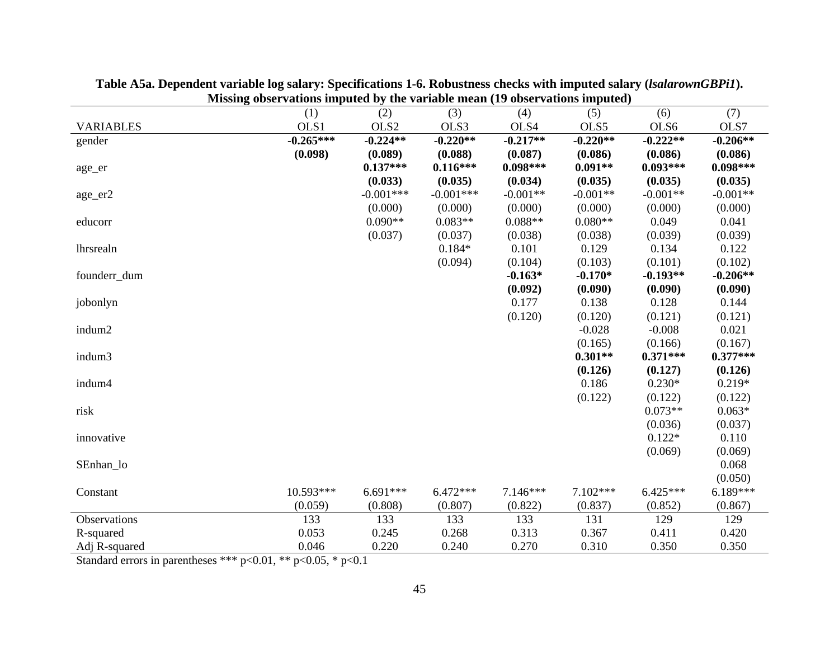|                  | (1)         | (2)         | (3)         | (4)        | $\sigma$ <sup>2</sup> $\sigma$ <sup>2</sup> $\sigma$ <sup>2</sup> $\sigma$ <sup>2</sup> $\sigma$ <sup>2</sup> $\sigma$ <sup>2</sup> $\sigma$ <sup>2</sup> $\sigma$ <sup>2</sup><br>(5) | (6)        | (7)        |
|------------------|-------------|-------------|-------------|------------|----------------------------------------------------------------------------------------------------------------------------------------------------------------------------------------|------------|------------|
| <b>VARIABLES</b> | OLS1        | OLS2        | OLS3        | OLS4       | OLS5                                                                                                                                                                                   | OLS6       | OLS7       |
| gender           | $-0.265***$ | $-0.224**$  | $-0.220**$  | $-0.217**$ | $-0.220**$                                                                                                                                                                             | $-0.222**$ | $-0.206**$ |
|                  | (0.098)     | (0.089)     | (0.088)     | (0.087)    | (0.086)                                                                                                                                                                                | (0.086)    | (0.086)    |
| age_er           |             | $0.137***$  | $0.116***$  | $0.098***$ | $0.091**$                                                                                                                                                                              | $0.093***$ | $0.098***$ |
|                  |             | (0.033)     | (0.035)     | (0.034)    | (0.035)                                                                                                                                                                                | (0.035)    | (0.035)    |
| age_er2          |             | $-0.001***$ | $-0.001***$ | $-0.001**$ | $-0.001**$                                                                                                                                                                             | $-0.001**$ | $-0.001**$ |
|                  |             | (0.000)     | (0.000)     | (0.000)    | (0.000)                                                                                                                                                                                | (0.000)    | (0.000)    |
| educorr          |             | $0.090**$   | $0.083**$   | $0.088**$  | $0.080**$                                                                                                                                                                              | 0.049      | 0.041      |
|                  |             | (0.037)     | (0.037)     | (0.038)    | (0.038)                                                                                                                                                                                | (0.039)    | (0.039)    |
| lhrsrealn        |             |             | $0.184*$    | 0.101      | 0.129                                                                                                                                                                                  | 0.134      | 0.122      |
|                  |             |             | (0.094)     | (0.104)    | (0.103)                                                                                                                                                                                | (0.101)    | (0.102)    |
| founderr_dum     |             |             |             | $-0.163*$  | $-0.170*$                                                                                                                                                                              | $-0.193**$ | $-0.206**$ |
|                  |             |             |             | (0.092)    | (0.090)                                                                                                                                                                                | (0.090)    | (0.090)    |
| jobonlyn         |             |             |             | 0.177      | 0.138                                                                                                                                                                                  | 0.128      | 0.144      |
|                  |             |             |             | (0.120)    | (0.120)                                                                                                                                                                                | (0.121)    | (0.121)    |
| indum2           |             |             |             |            | $-0.028$                                                                                                                                                                               | $-0.008$   | 0.021      |
|                  |             |             |             |            | (0.165)                                                                                                                                                                                | (0.166)    | (0.167)    |
| indum3           |             |             |             |            | $0.301**$                                                                                                                                                                              | $0.371***$ | $0.377***$ |
|                  |             |             |             |            | (0.126)                                                                                                                                                                                | (0.127)    | (0.126)    |
| indum4           |             |             |             |            | 0.186                                                                                                                                                                                  | $0.230*$   | $0.219*$   |
|                  |             |             |             |            | (0.122)                                                                                                                                                                                | (0.122)    | (0.122)    |
| risk             |             |             |             |            |                                                                                                                                                                                        | $0.073**$  | $0.063*$   |
|                  |             |             |             |            |                                                                                                                                                                                        | (0.036)    | (0.037)    |
| innovative       |             |             |             |            |                                                                                                                                                                                        | $0.122*$   | 0.110      |
|                  |             |             |             |            |                                                                                                                                                                                        | (0.069)    | (0.069)    |
| SEnhan_lo        |             |             |             |            |                                                                                                                                                                                        |            | 0.068      |
|                  |             |             |             |            |                                                                                                                                                                                        |            | (0.050)    |
| Constant         | 10.593***   | $6.691***$  | $6.472***$  | $7.146***$ | $7.102***$                                                                                                                                                                             | $6.425***$ | $6.189***$ |
|                  | (0.059)     | (0.808)     | (0.807)     | (0.822)    | (0.837)                                                                                                                                                                                | (0.852)    | (0.867)    |
| Observations     | 133         | 133         | 133         | 133        | 131                                                                                                                                                                                    | 129        | 129        |
| R-squared        | 0.053       | 0.245       | 0.268       | 0.313      | 0.367                                                                                                                                                                                  | 0.411      | 0.420      |
| Adj R-squared    | 0.046       | 0.220       | 0.240       | 0.270      | 0.310                                                                                                                                                                                  | 0.350      | 0.350      |

**Table A5a. Dependent variable log salary: Specifications 1-6. Robustness checks with imputed salary (***lsalarownGBPi1***). Missing observations imputed by the variable mean (19 observations imputed)**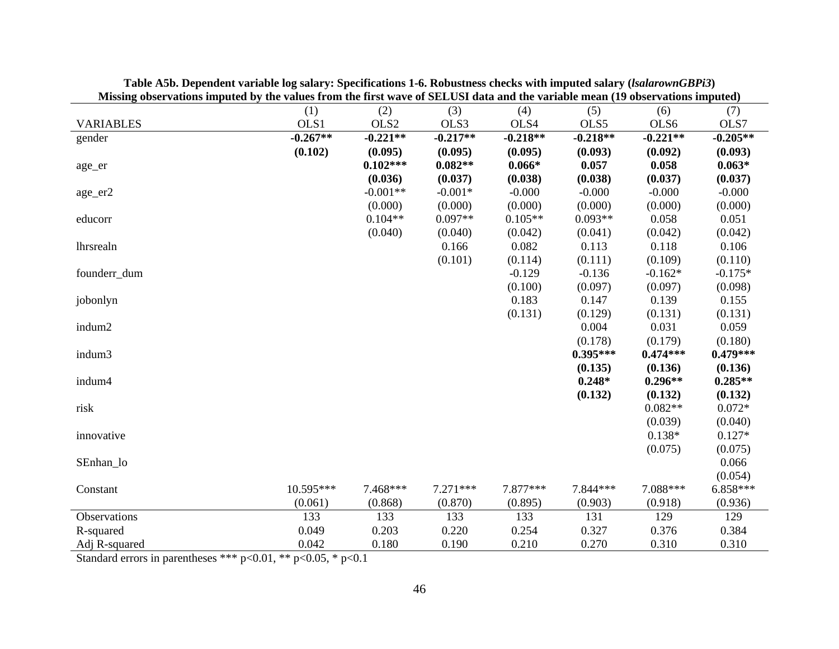| vosci rations imputeu o j the ranges from the more ware of SEEOSI uata and the raffable mean (17 vosci rations imputeu) |            |            |            |            |            |            |            |
|-------------------------------------------------------------------------------------------------------------------------|------------|------------|------------|------------|------------|------------|------------|
|                                                                                                                         | (1)        | (2)        | (3)        | (4)        | (5)        | (6)        | (7)        |
| <b>VARIABLES</b>                                                                                                        | OLS1       | OLS2       | OLS3       | OLS4       | OLS5       | OLS6       | OLS7       |
| gender                                                                                                                  | $-0.267**$ | $-0.221**$ | $-0.217**$ | $-0.218**$ | $-0.218**$ | $-0.221**$ | $-0.205**$ |
|                                                                                                                         | (0.102)    | (0.095)    | (0.095)    | (0.095)    | (0.093)    | (0.092)    | (0.093)    |
| age_er                                                                                                                  |            | $0.102***$ | $0.082**$  | $0.066*$   | 0.057      | 0.058      | $0.063*$   |
|                                                                                                                         |            | (0.036)    | (0.037)    | (0.038)    | (0.038)    | (0.037)    | (0.037)    |
| age_er2                                                                                                                 |            | $-0.001**$ | $-0.001*$  | $-0.000$   | $-0.000$   | $-0.000$   | $-0.000$   |
|                                                                                                                         |            | (0.000)    | (0.000)    | (0.000)    | (0.000)    | (0.000)    | (0.000)    |
| educorr                                                                                                                 |            | $0.104**$  | $0.097**$  | $0.105**$  | $0.093**$  | 0.058      | 0.051      |
|                                                                                                                         |            | (0.040)    | (0.040)    | (0.042)    | (0.041)    | (0.042)    | (0.042)    |
| lhrsrealn                                                                                                               |            |            | 0.166      | 0.082      | 0.113      | 0.118      | 0.106      |
|                                                                                                                         |            |            | (0.101)    | (0.114)    | (0.111)    | (0.109)    | (0.110)    |
| founderr_dum                                                                                                            |            |            |            | $-0.129$   | $-0.136$   | $-0.162*$  | $-0.175*$  |
|                                                                                                                         |            |            |            | (0.100)    | (0.097)    | (0.097)    | (0.098)    |
| jobonlyn                                                                                                                |            |            |            | 0.183      | 0.147      | 0.139      | 0.155      |
|                                                                                                                         |            |            |            | (0.131)    | (0.129)    | (0.131)    | (0.131)    |
| indum2                                                                                                                  |            |            |            |            | 0.004      | 0.031      | 0.059      |
|                                                                                                                         |            |            |            |            | (0.178)    | (0.179)    | (0.180)    |
| indum3                                                                                                                  |            |            |            |            | $0.395***$ | $0.474***$ | $0.479***$ |
|                                                                                                                         |            |            |            |            | (0.135)    | (0.136)    | (0.136)    |
| indum4                                                                                                                  |            |            |            |            | $0.248*$   | $0.296**$  | $0.285**$  |
|                                                                                                                         |            |            |            |            | (0.132)    | (0.132)    | (0.132)    |
| risk                                                                                                                    |            |            |            |            |            | $0.082**$  | $0.072*$   |
|                                                                                                                         |            |            |            |            |            | (0.039)    | (0.040)    |
| innovative                                                                                                              |            |            |            |            |            | $0.138*$   | $0.127*$   |
|                                                                                                                         |            |            |            |            |            | (0.075)    | (0.075)    |
| SEnhan_lo                                                                                                               |            |            |            |            |            |            | 0.066      |
|                                                                                                                         |            |            |            |            |            |            | (0.054)    |
| Constant                                                                                                                | 10.595***  | 7.468***   | $7.271***$ | 7.877***   | 7.844***   | 7.088***   | $6.858***$ |
|                                                                                                                         | (0.061)    | (0.868)    | (0.870)    | (0.895)    | (0.903)    | (0.918)    | (0.936)    |
|                                                                                                                         | 133        |            |            |            | 131        |            |            |
| Observations                                                                                                            |            | 133        | 133        | 133        |            | 129        | 129        |
| R-squared                                                                                                               | 0.049      | 0.203      | 0.220      | 0.254      | 0.327      | 0.376      | 0.384      |
| Adj R-squared                                                                                                           | 0.042      | 0.180      | 0.190      | 0.210      | 0.270      | 0.310      | 0.310      |

**Table A5b. Dependent variable log salary: Specifications 1-6. Robustness checks with imputed salary (***lsalarownGBPi3***) Missing observations imputed by the values from the first wave of SELUSI data and the variable mean (19 observations imputed)**